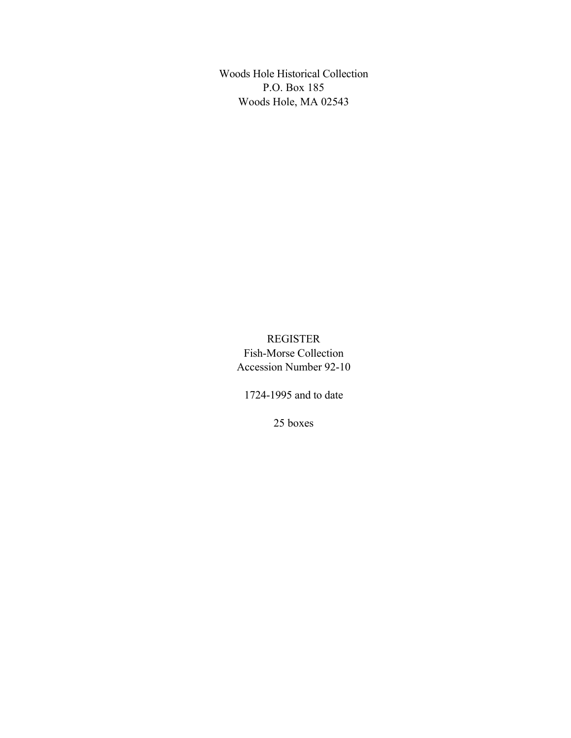Woods Hole Historical Collection P.O. Box 185 Woods Hole, MA 02543

> REGISTER Fish-Morse Collection Accession Number 92-10

1724-1995 and to date

25 boxes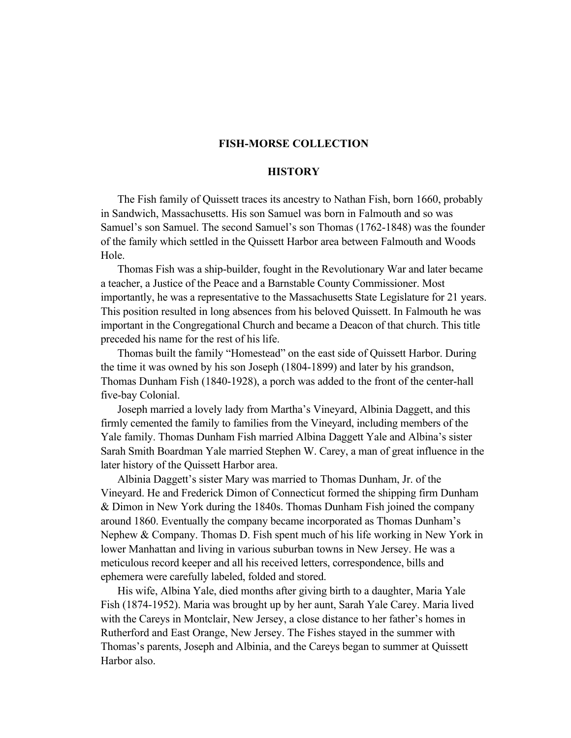### **FISH-MORSE COLLECTION**

### **HISTORY**

The Fish family of Quissett traces its ancestry to Nathan Fish, born 1660, probably in Sandwich, Massachusetts. His son Samuel was born in Falmouth and so was Samuel's son Samuel. The second Samuel's son Thomas (1762-1848) was the founder of the family which settled in the Quissett Harbor area between Falmouth and Woods Hole.

Thomas Fish was a ship-builder, fought in the Revolutionary War and later became a teacher, a Justice of the Peace and a Barnstable County Commissioner. Most importantly, he was a representative to the Massachusetts State Legislature for 21 years. This position resulted in long absences from his beloved Quissett. In Falmouth he was important in the Congregational Church and became a Deacon of that church. This title preceded his name for the rest of his life.

Thomas built the family "Homestead" on the east side of Quissett Harbor. During the time it was owned by his son Joseph (1804-1899) and later by his grandson, Thomas Dunham Fish (1840-1928), a porch was added to the front of the center-hall five-bay Colonial.

Joseph married a lovely lady from Martha's Vineyard, Albinia Daggett, and this firmly cemented the family to families from the Vineyard, including members of the Yale family. Thomas Dunham Fish married Albina Daggett Yale and Albina's sister Sarah Smith Boardman Yale married Stephen W. Carey, a man of great influence in the later history of the Quissett Harbor area.

Albinia Daggett's sister Mary was married to Thomas Dunham, Jr. of the Vineyard. He and Frederick Dimon of Connecticut formed the shipping firm Dunham & Dimon in New York during the 1840s. Thomas Dunham Fish joined the company around 1860. Eventually the company became incorporated as Thomas Dunham's Nephew & Company. Thomas D. Fish spent much of his life working in New York in lower Manhattan and living in various suburban towns in New Jersey. He was a meticulous record keeper and all his received letters, correspondence, bills and ephemera were carefully labeled, folded and stored.

His wife, Albina Yale, died months after giving birth to a daughter, Maria Yale Fish (1874-1952). Maria was brought up by her aunt, Sarah Yale Carey. Maria lived with the Careys in Montclair, New Jersey, a close distance to her father's homes in Rutherford and East Orange, New Jersey. The Fishes stayed in the summer with Thomas's parents, Joseph and Albinia, and the Careys began to summer at Quissett Harbor also.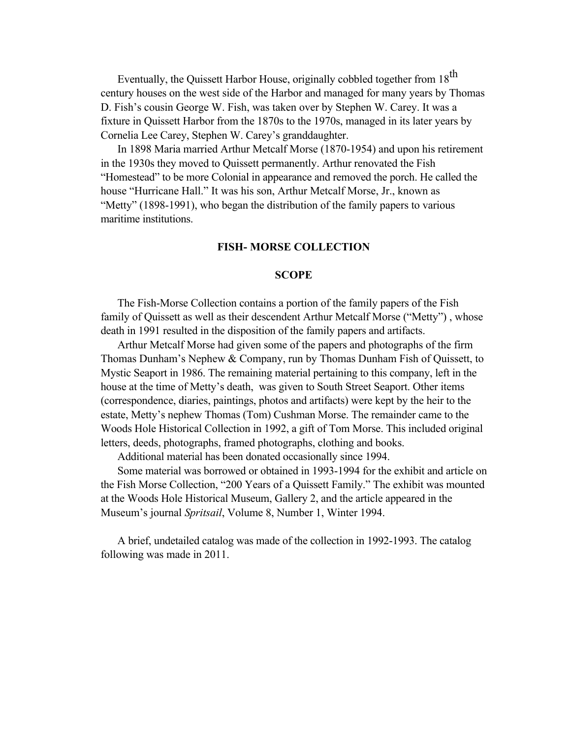Eventually, the Quissett Harbor House, originally cobbled together from 18<sup>th</sup> century houses on the west side of the Harbor and managed for many years by Thomas D. Fish's cousin George W. Fish, was taken over by Stephen W. Carey. It was a fixture in Quissett Harbor from the 1870s to the 1970s, managed in its later years by Cornelia Lee Carey, Stephen W. Carey's granddaughter.

In 1898 Maria married Arthur Metcalf Morse (1870-1954) and upon his retirement in the 1930s they moved to Quissett permanently. Arthur renovated the Fish "Homestead" to be more Colonial in appearance and removed the porch. He called the house "Hurricane Hall." It was his son, Arthur Metcalf Morse, Jr., known as "Metty" (1898-1991), who began the distribution of the family papers to various maritime institutions.

#### **FISH- MORSE COLLECTION**

#### **SCOPE**

The Fish-Morse Collection contains a portion of the family papers of the Fish family of Quissett as well as their descendent Arthur Metcalf Morse ("Metty") , whose death in 1991 resulted in the disposition of the family papers and artifacts.

Arthur Metcalf Morse had given some of the papers and photographs of the firm Thomas Dunham's Nephew & Company, run by Thomas Dunham Fish of Quissett, to Mystic Seaport in 1986. The remaining material pertaining to this company, left in the house at the time of Metty's death, was given to South Street Seaport. Other items (correspondence, diaries, paintings, photos and artifacts) were kept by the heir to the estate, Metty's nephew Thomas (Tom) Cushman Morse. The remainder came to the Woods Hole Historical Collection in 1992, a gift of Tom Morse. This included original letters, deeds, photographs, framed photographs, clothing and books.

Additional material has been donated occasionally since 1994.

Some material was borrowed or obtained in 1993-1994 for the exhibit and article on the Fish Morse Collection, "200 Years of a Quissett Family." The exhibit was mounted at the Woods Hole Historical Museum, Gallery 2, and the article appeared in the Museum's journal *Spritsail*, Volume 8, Number 1, Winter 1994.

A brief, undetailed catalog was made of the collection in 1992-1993. The catalog following was made in 2011.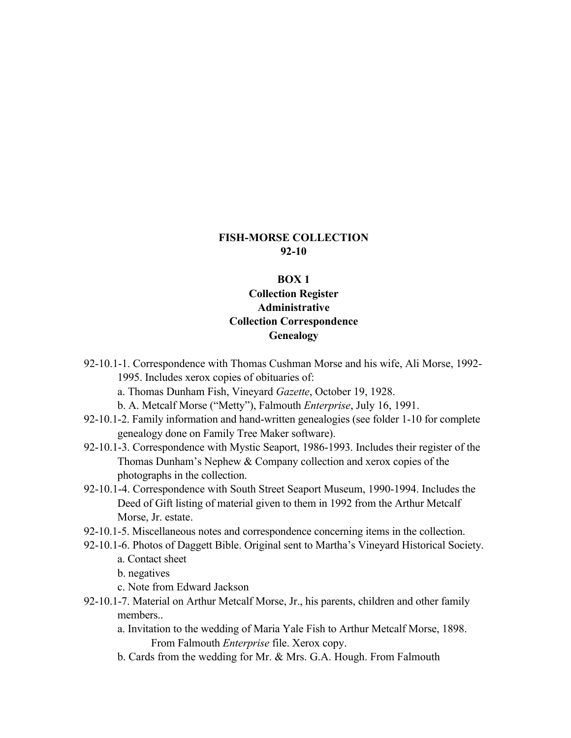### **FISH-MORSE COLLECTION 92-10**

#### **BOX 1**

## **Collection Register Administrative Collection Correspondence Genealogy**

- 92-10.1-1. Correspondence with Thomas Cushman Morse and his wife, Ali Morse, 1992- 1995. Includes xerox copies of obituaries of:
	- a. Thomas Dunham Fish, Vineyard *Gazette*, October 19, 1928.
	- b. A. Metcalf Morse ("Metty"), Falmouth *Enterprise*, July 16, 1991.
- 92-10.1-2. Family information and hand-written genealogies (see folder 1-10 for complete genealogy done on Family Tree Maker software).
- 92-10.1-3. Correspondence with Mystic Seaport, 1986-1993. Includes their register of the Thomas Dunham's Nephew & Company collection and xerox copies of the photographs in the collection.
- 92-10.1-4. Correspondence with South Street Seaport Museum, 1990-1994. Includes the Deed of Gift listing of material given to them in 1992 from the Arthur Metcalf Morse, Jr. estate.
- 92-10.1-5. Miscellaneous notes and correspondence concerning items in the collection.
- 92-10.1-6. Photos of Daggett Bible. Original sent to Martha's Vineyard Historical Society. a. Contact sheet
	- b. negatives
	- c. Note from Edward Jackson
- 92-10.1-7. Material on Arthur Metcalf Morse, Jr., his parents, children and other family members..
	- a. Invitation to the wedding of Maria Yale Fish to Arthur Metcalf Morse, 1898. From Falmouth *Enterprise* file. Xerox copy.
	- b. Cards from the wedding for Mr. & Mrs. G.A. Hough. From Falmouth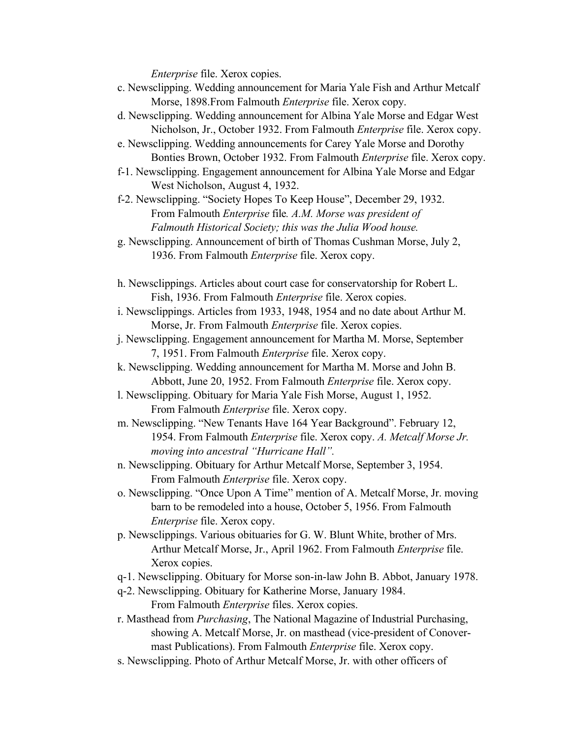*Enterprise* file. Xerox copies.

- c. Newsclipping. Wedding announcement for Maria Yale Fish and Arthur Metcalf Morse, 1898.From Falmouth *Enterprise* file. Xerox copy.
- d. Newsclipping. Wedding announcement for Albina Yale Morse and Edgar West Nicholson, Jr., October 1932. From Falmouth *Enterprise* file. Xerox copy.
- e. Newsclipping. Wedding announcements for Carey Yale Morse and Dorothy Bonties Brown, October 1932. From Falmouth *Enterprise* file. Xerox copy.
- f-1. Newsclipping. Engagement announcement for Albina Yale Morse and Edgar West Nicholson, August 4, 1932.

f-2. Newsclipping. "Society Hopes To Keep House", December 29, 1932. From Falmouth *Enterprise* file*. A.M. Morse was president of Falmouth Historical Society; this was the Julia Wood house.*

- g. Newsclipping. Announcement of birth of Thomas Cushman Morse, July 2, 1936. From Falmouth *Enterprise* file. Xerox copy.
- h. Newsclippings. Articles about court case for conservatorship for Robert L. Fish, 1936. From Falmouth *Enterprise* file. Xerox copies.
- i. Newsclippings. Articles from 1933, 1948, 1954 and no date about Arthur M. Morse, Jr. From Falmouth *Enterprise* file. Xerox copies.
- j. Newsclipping. Engagement announcement for Martha M. Morse, September 7, 1951. From Falmouth *Enterprise* file. Xerox copy.
- k. Newsclipping. Wedding announcement for Martha M. Morse and John B. Abbott, June 20, 1952. From Falmouth *Enterprise* file. Xerox copy.
- l. Newsclipping. Obituary for Maria Yale Fish Morse, August 1, 1952. From Falmouth *Enterprise* file. Xerox copy.
- m. Newsclipping. "New Tenants Have 164 Year Background". February 12, 1954. From Falmouth *Enterprise* file. Xerox copy. *A. Metcalf Morse Jr. moving into ancestral "Hurricane Hall".*
- n. Newsclipping. Obituary for Arthur Metcalf Morse, September 3, 1954. From Falmouth *Enterprise* file. Xerox copy.
- o. Newsclipping. "Once Upon A Time" mention of A. Metcalf Morse, Jr. moving barn to be remodeled into a house, October 5, 1956. From Falmouth *Enterprise* file. Xerox copy.
- p. Newsclippings. Various obituaries for G. W. Blunt White, brother of Mrs. Arthur Metcalf Morse, Jr., April 1962. From Falmouth *Enterprise* file. Xerox copies.
- q-1. Newsclipping. Obituary for Morse son-in-law John B. Abbot, January 1978.
- q-2. Newsclipping. Obituary for Katherine Morse, January 1984. From Falmouth *Enterprise* files. Xerox copies.
- r. Masthead from *Purchasing*, The National Magazine of Industrial Purchasing, showing A. Metcalf Morse, Jr. on masthead (vice-president of Conovermast Publications). From Falmouth *Enterprise* file. Xerox copy.
- s. Newsclipping. Photo of Arthur Metcalf Morse, Jr. with other officers of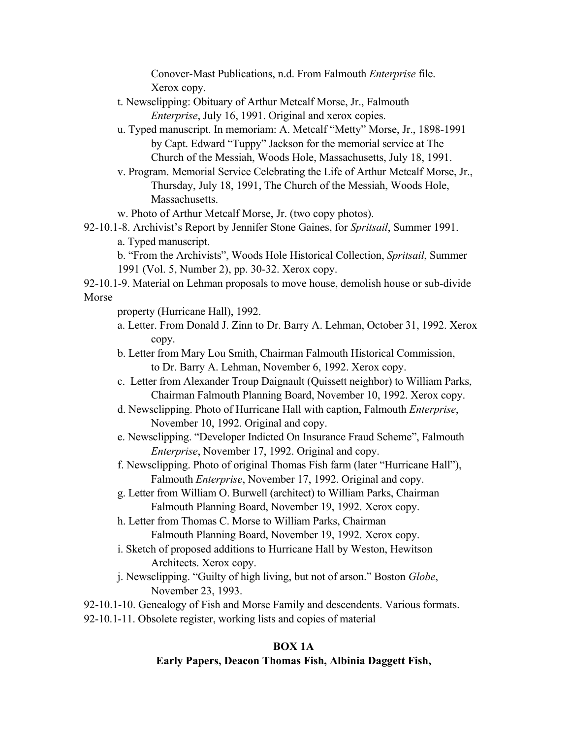Conover-Mast Publications, n.d. From Falmouth *Enterprise* file. Xerox copy.

- t. Newsclipping: Obituary of Arthur Metcalf Morse, Jr., Falmouth *Enterprise*, July 16, 1991. Original and xerox copies.
- u. Typed manuscript. In memoriam: A. Metcalf "Metty" Morse, Jr., 1898-1991 by Capt. Edward "Tuppy" Jackson for the memorial service at The Church of the Messiah, Woods Hole, Massachusetts, July 18, 1991.
- v. Program. Memorial Service Celebrating the Life of Arthur Metcalf Morse, Jr., Thursday, July 18, 1991, The Church of the Messiah, Woods Hole, Massachusetts.
- w. Photo of Arthur Metcalf Morse, Jr. (two copy photos).

92-10.1-8. Archivist's Report by Jennifer Stone Gaines, for *Spritsail*, Summer 1991. a. Typed manuscript.

b. "From the Archivists", Woods Hole Historical Collection, *Spritsail*, Summer 1991 (Vol. 5, Number 2), pp. 30-32. Xerox copy.

92-10.1-9. Material on Lehman proposals to move house, demolish house or sub-divide Morse

property (Hurricane Hall), 1992.

- a. Letter. From Donald J. Zinn to Dr. Barry A. Lehman, October 31, 1992. Xerox copy.
- b. Letter from Mary Lou Smith, Chairman Falmouth Historical Commission, to Dr. Barry A. Lehman, November 6, 1992. Xerox copy.
- c. Letter from Alexander Troup Daignault (Quissett neighbor) to William Parks, Chairman Falmouth Planning Board, November 10, 1992. Xerox copy.
- d. Newsclipping. Photo of Hurricane Hall with caption, Falmouth *Enterprise*, November 10, 1992. Original and copy.
- e. Newsclipping. "Developer Indicted On Insurance Fraud Scheme", Falmouth *Enterprise*, November 17, 1992. Original and copy.
- f. Newsclipping. Photo of original Thomas Fish farm (later "Hurricane Hall"), Falmouth *Enterprise*, November 17, 1992. Original and copy.
- g. Letter from William O. Burwell (architect) to William Parks, Chairman Falmouth Planning Board, November 19, 1992. Xerox copy.

h. Letter from Thomas C. Morse to William Parks, Chairman Falmouth Planning Board, November 19, 1992. Xerox copy.

- i. Sketch of proposed additions to Hurricane Hall by Weston, Hewitson Architects. Xerox copy.
- j. Newsclipping. "Guilty of high living, but not of arson." Boston *Globe*, November 23, 1993.

92-10.1-10. Genealogy of Fish and Morse Family and descendents. Various formats. 92-10.1-11. Obsolete register, working lists and copies of material

# **BOX 1A**

# **Early Papers, Deacon Thomas Fish, Albinia Daggett Fish,**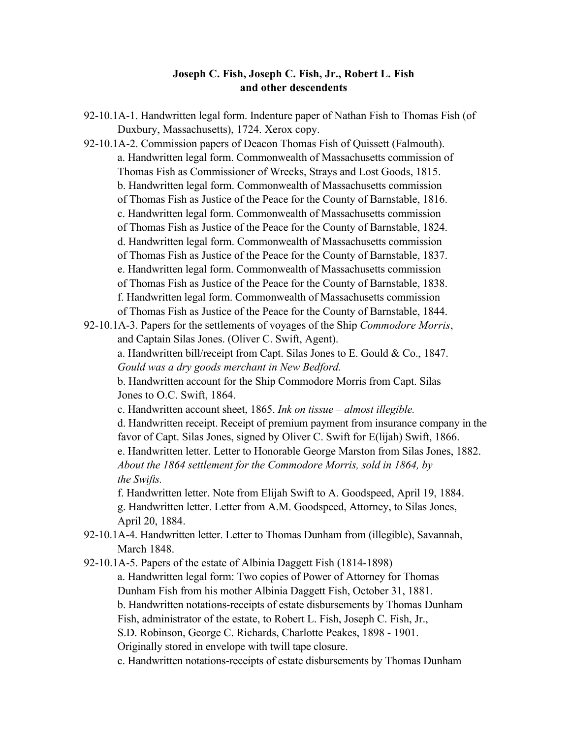### **Joseph C. Fish, Joseph C. Fish, Jr., Robert L. Fish and other descendents**

92-10.1A-1. Handwritten legal form. Indenture paper of Nathan Fish to Thomas Fish (of Duxbury, Massachusetts), 1724. Xerox copy.

92-10.1A-2. Commission papers of Deacon Thomas Fish of Quissett (Falmouth). a. Handwritten legal form. Commonwealth of Massachusetts commission of Thomas Fish as Commissioner of Wrecks, Strays and Lost Goods, 1815. b. Handwritten legal form. Commonwealth of Massachusetts commission of Thomas Fish as Justice of the Peace for the County of Barnstable, 1816. c. Handwritten legal form. Commonwealth of Massachusetts commission of Thomas Fish as Justice of the Peace for the County of Barnstable, 1824. d. Handwritten legal form. Commonwealth of Massachusetts commission of Thomas Fish as Justice of the Peace for the County of Barnstable, 1837. e. Handwritten legal form. Commonwealth of Massachusetts commission of Thomas Fish as Justice of the Peace for the County of Barnstable, 1838. f. Handwritten legal form. Commonwealth of Massachusetts commission of Thomas Fish as Justice of the Peace for the County of Barnstable, 1844.

92-10.1A-3. Papers for the settlements of voyages of the Ship *Commodore Morris*, and Captain Silas Jones. (Oliver C. Swift, Agent).

a. Handwritten bill/receipt from Capt. Silas Jones to E. Gould & Co., 1847. *Gould was a dry goods merchant in New Bedford.*

b. Handwritten account for the Ship Commodore Morris from Capt. Silas Jones to O.C. Swift, 1864.

c. Handwritten account sheet, 1865. *Ink on tissue – almost illegible.*

d. Handwritten receipt. Receipt of premium payment from insurance company in the favor of Capt. Silas Jones, signed by Oliver C. Swift for E(lijah) Swift, 1866. e. Handwritten letter. Letter to Honorable George Marston from Silas Jones, 1882.

*About the 1864 settlement for the Commodore Morris, sold in 1864, by the Swifts.*

f. Handwritten letter. Note from Elijah Swift to A. Goodspeed, April 19, 1884. g. Handwritten letter. Letter from A.M. Goodspeed, Attorney, to Silas Jones, April 20, 1884.

92-10.1A-4. Handwritten letter. Letter to Thomas Dunham from (illegible), Savannah, March 1848.

92-10.1A-5. Papers of the estate of Albinia Daggett Fish (1814-1898)

a. Handwritten legal form: Two copies of Power of Attorney for Thomas Dunham Fish from his mother Albinia Daggett Fish, October 31, 1881.

b. Handwritten notations-receipts of estate disbursements by Thomas Dunham

Fish, administrator of the estate, to Robert L. Fish, Joseph C. Fish, Jr.,

S.D. Robinson, George C. Richards, Charlotte Peakes, 1898 - 1901.

Originally stored in envelope with twill tape closure.

c. Handwritten notations-receipts of estate disbursements by Thomas Dunham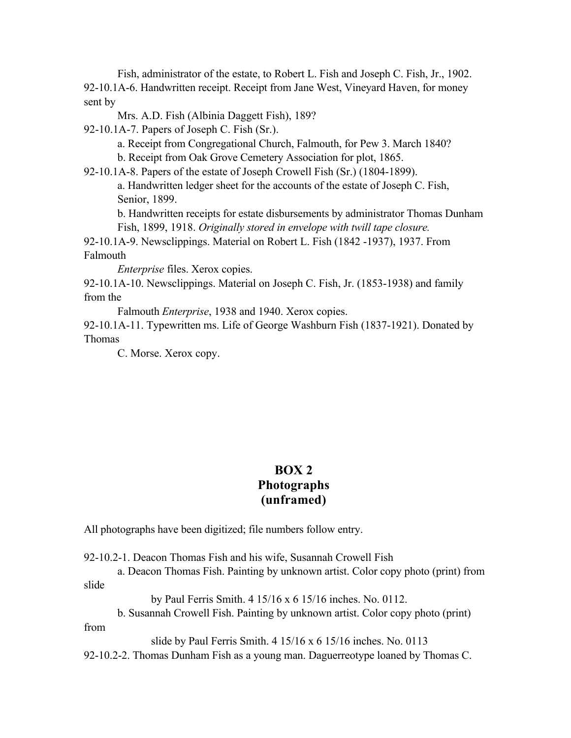Fish, administrator of the estate, to Robert L. Fish and Joseph C. Fish, Jr., 1902. 92-10.1A-6. Handwritten receipt. Receipt from Jane West, Vineyard Haven, for money sent by

Mrs. A.D. Fish (Albinia Daggett Fish), 189?

92-10.1A-7. Papers of Joseph C. Fish (Sr.).

a. Receipt from Congregational Church, Falmouth, for Pew 3. March 1840?

b. Receipt from Oak Grove Cemetery Association for plot, 1865.

92-10.1A-8. Papers of the estate of Joseph Crowell Fish (Sr.) (1804-1899).

a. Handwritten ledger sheet for the accounts of the estate of Joseph C. Fish, Senior, 1899.

b. Handwritten receipts for estate disbursements by administrator Thomas Dunham Fish, 1899, 1918. *Originally stored in envelope with twill tape closure.*

92-10.1A-9. Newsclippings. Material on Robert L. Fish (1842 -1937), 1937. From Falmouth

*Enterprise* files. Xerox copies.

92-10.1A-10. Newsclippings. Material on Joseph C. Fish, Jr. (1853-1938) and family from the

Falmouth *Enterprise*, 1938 and 1940. Xerox copies.

92-10.1A-11. Typewritten ms. Life of George Washburn Fish (1837-1921). Donated by Thomas

C. Morse. Xerox copy.

# **BOX 2 Photographs (unframed)**

All photographs have been digitized; file numbers follow entry.

92-10.2-1. Deacon Thomas Fish and his wife, Susannah Crowell Fish

a. Deacon Thomas Fish. Painting by unknown artist. Color copy photo (print) from slide

by Paul Ferris Smith. 4 15/16 x 6 15/16 inches. No. 0112.

b. Susannah Crowell Fish. Painting by unknown artist. Color copy photo (print)

from

slide by Paul Ferris Smith. 4 15/16 x 6 15/16 inches. No. 0113

92-10.2-2. Thomas Dunham Fish as a young man. Daguerreotype loaned by Thomas C.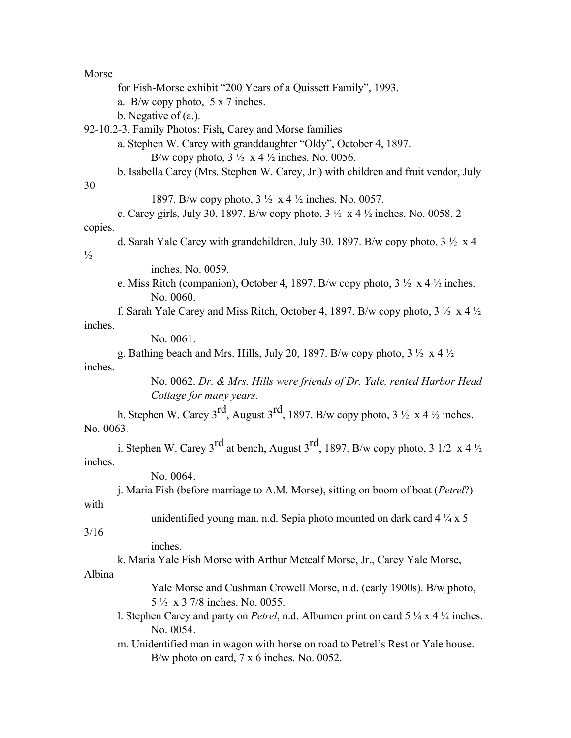Morse for Fish-Morse exhibit "200 Years of a Quissett Family", 1993. a. B/w copy photo, 5 x 7 inches. b. Negative of (a.). 92-10.2-3. Family Photos: Fish, Carey and Morse families a. Stephen W. Carey with granddaughter "Oldy", October 4, 1897. B/w copy photo,  $3\frac{1}{2} \times 4\frac{1}{2}$  inches. No. 0056. b. Isabella Carey (Mrs. Stephen W. Carey, Jr.) with children and fruit vendor, July 30 1897. B/w copy photo, 3 ½ x 4 ½ inches. No. 0057. c. Carey girls, July 30, 1897. B/w copy photo,  $3\frac{1}{2} \times 4\frac{1}{2}$  inches. No. 0058. 2 copies. d. Sarah Yale Carey with grandchildren, July 30, 1897. B/w copy photo, 3 ½ x 4  $\frac{1}{2}$ inches. No. 0059. e. Miss Ritch (companion), October 4, 1897. B/w copy photo,  $3\frac{1}{2} \times 4\frac{1}{2}$  inches. No. 0060. f. Sarah Yale Carey and Miss Ritch, October 4, 1897. B/w copy photo,  $3\frac{1}{2} \times 4\frac{1}{2}$ inches. No. 0061. g. Bathing beach and Mrs. Hills, July 20, 1897. B/w copy photo,  $3\frac{1}{2} \times 4\frac{1}{2}$ inches. No. 0062. *Dr. & Mrs. Hills were friends of Dr. Yale, rented Harbor Head Cottage for many years.* h. Stephen W. Carey 3<sup>rd</sup>, August 3<sup>rd</sup>, 1897. B/w copy photo, 3  $\frac{1}{2}$  x 4  $\frac{1}{2}$  inches. No. 0063. i. Stephen W. Carey 3<sup>rd</sup> at bench, August 3<sup>rd</sup>, 1897. B/w copy photo, 3 1/2 x 4  $\frac{1}{2}$ inches. No. 0064. j. Maria Fish (before marriage to A.M. Morse), sitting on boom of boat (*Petrel*?) with unidentified young man, n.d. Sepia photo mounted on dark card  $4\frac{1}{4} \times 5$ 3/16 inches. k. Maria Yale Fish Morse with Arthur Metcalf Morse, Jr., Carey Yale Morse, Albina Yale Morse and Cushman Crowell Morse, n.d. (early 1900s). B/w photo, 5 ½ x 3 7/8 inches. No. 0055.

l. Stephen Carey and party on *Petrel*, n.d. Albumen print on card 5 ¼ x 4 ¼ inches. No. 0054.

m. Unidentified man in wagon with horse on road to Petrel's Rest or Yale house. B/w photo on card, 7 x 6 inches. No. 0052.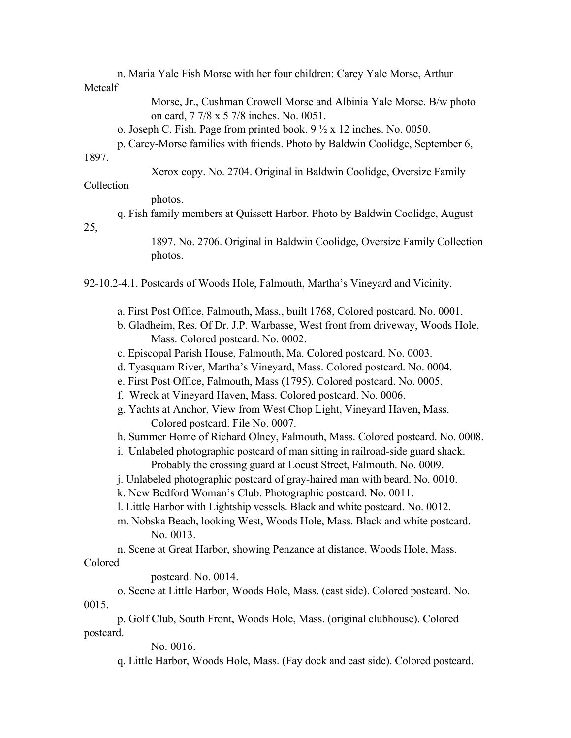n. Maria Yale Fish Morse with her four children: Carey Yale Morse, Arthur **Metcalf** 

> Morse, Jr., Cushman Crowell Morse and Albinia Yale Morse. B/w photo on card, 7 7/8 x 5 7/8 inches. No. 0051.

o. Joseph C. Fish. Page from printed book.  $9\frac{1}{2}$  x 12 inches. No. 0050.

p. Carey-Morse families with friends. Photo by Baldwin Coolidge, September 6,

# 1897.

Xerox copy. No. 2704. Original in Baldwin Coolidge, Oversize Family

#### Collection

photos.

q. Fish family members at Quissett Harbor. Photo by Baldwin Coolidge, August

25,

1897. No. 2706. Original in Baldwin Coolidge, Oversize Family Collection photos.

92-10.2-4.1. Postcards of Woods Hole, Falmouth, Martha's Vineyard and Vicinity.

- a. First Post Office, Falmouth, Mass., built 1768, Colored postcard. No. 0001.
- b. Gladheim, Res. Of Dr. J.P. Warbasse, West front from driveway, Woods Hole, Mass. Colored postcard. No. 0002.
- c. Episcopal Parish House, Falmouth, Ma. Colored postcard. No. 0003.
- d. Tyasquam River, Martha's Vineyard, Mass. Colored postcard. No. 0004.
- e. First Post Office, Falmouth, Mass (1795). Colored postcard. No. 0005.
- f. Wreck at Vineyard Haven, Mass. Colored postcard. No. 0006.
- g. Yachts at Anchor, View from West Chop Light, Vineyard Haven, Mass. Colored postcard. File No. 0007.
- h. Summer Home of Richard Olney, Falmouth, Mass. Colored postcard. No. 0008.
- i. Unlabeled photographic postcard of man sitting in railroad-side guard shack. Probably the crossing guard at Locust Street, Falmouth. No. 0009.
- j. Unlabeled photographic postcard of gray-haired man with beard. No. 0010.

k. New Bedford Woman's Club. Photographic postcard. No. 0011.

- l. Little Harbor with Lightship vessels. Black and white postcard. No. 0012.
- m. Nobska Beach, looking West, Woods Hole, Mass. Black and white postcard. No. 0013.
- n. Scene at Great Harbor, showing Penzance at distance, Woods Hole, Mass.

Colored

postcard. No. 0014.

o. Scene at Little Harbor, Woods Hole, Mass. (east side). Colored postcard. No. 0015.

p. Golf Club, South Front, Woods Hole, Mass. (original clubhouse). Colored postcard.

No. 0016.

q. Little Harbor, Woods Hole, Mass. (Fay dock and east side). Colored postcard.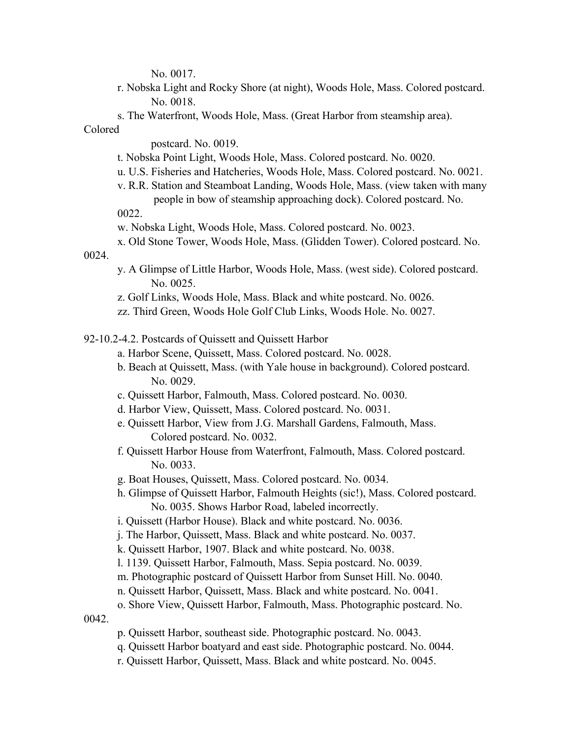No. 0017.

- r. Nobska Light and Rocky Shore (at night), Woods Hole, Mass. Colored postcard. No. 0018.
- s. The Waterfront, Woods Hole, Mass. (Great Harbor from steamship area).

### Colored

postcard. No. 0019.

- t. Nobska Point Light, Woods Hole, Mass. Colored postcard. No. 0020.
- u. U.S. Fisheries and Hatcheries, Woods Hole, Mass. Colored postcard. No. 0021.
- v. R.R. Station and Steamboat Landing, Woods Hole, Mass. (view taken with many people in bow of steamship approaching dock). Colored postcard. No.

0022.

- w. Nobska Light, Woods Hole, Mass. Colored postcard. No. 0023.
- x. Old Stone Tower, Woods Hole, Mass. (Glidden Tower). Colored postcard. No.

### 0024.

- y. A Glimpse of Little Harbor, Woods Hole, Mass. (west side). Colored postcard. No. 0025.
- z. Golf Links, Woods Hole, Mass. Black and white postcard. No. 0026.
- zz. Third Green, Woods Hole Golf Club Links, Woods Hole. No. 0027.
- 92-10.2-4.2. Postcards of Quissett and Quissett Harbor
	- a. Harbor Scene, Quissett, Mass. Colored postcard. No. 0028.
	- b. Beach at Quissett, Mass. (with Yale house in background). Colored postcard. No. 0029.
	- c. Quissett Harbor, Falmouth, Mass. Colored postcard. No. 0030.
	- d. Harbor View, Quissett, Mass. Colored postcard. No. 0031.
	- e. Quissett Harbor, View from J.G. Marshall Gardens, Falmouth, Mass. Colored postcard. No. 0032.
	- f. Quissett Harbor House from Waterfront, Falmouth, Mass. Colored postcard. No. 0033.
	- g. Boat Houses, Quissett, Mass. Colored postcard. No. 0034.
	- h. Glimpse of Quissett Harbor, Falmouth Heights (sic!), Mass. Colored postcard. No. 0035. Shows Harbor Road, labeled incorrectly.
	- i. Quissett (Harbor House). Black and white postcard. No. 0036.
	- j. The Harbor, Quissett, Mass. Black and white postcard. No. 0037.
	- k. Quissett Harbor, 1907. Black and white postcard. No. 0038.
	- l. 1139. Quissett Harbor, Falmouth, Mass. Sepia postcard. No. 0039.
	- m. Photographic postcard of Quissett Harbor from Sunset Hill. No. 0040.
	- n. Quissett Harbor, Quissett, Mass. Black and white postcard. No. 0041.
	- o. Shore View, Quissett Harbor, Falmouth, Mass. Photographic postcard. No.

0042.

- p. Quissett Harbor, southeast side. Photographic postcard. No. 0043.
- q. Quissett Harbor boatyard and east side. Photographic postcard. No. 0044.
- r. Quissett Harbor, Quissett, Mass. Black and white postcard. No. 0045.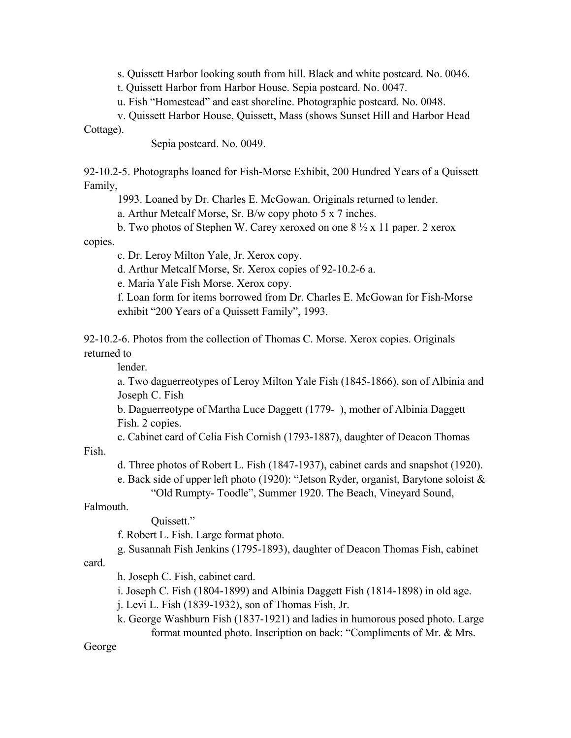s. Quissett Harbor looking south from hill. Black and white postcard. No. 0046.

t. Quissett Harbor from Harbor House. Sepia postcard. No. 0047.

u. Fish "Homestead" and east shoreline. Photographic postcard. No. 0048.

v. Quissett Harbor House, Quissett, Mass (shows Sunset Hill and Harbor Head

Cottage).

Sepia postcard. No. 0049.

92-10.2-5. Photographs loaned for Fish-Morse Exhibit, 200 Hundred Years of a Quissett Family,

1993. Loaned by Dr. Charles E. McGowan. Originals returned to lender.

a. Arthur Metcalf Morse, Sr. B/w copy photo 5 x 7 inches.

b. Two photos of Stephen W. Carey xeroxed on one  $8\frac{1}{2}$  x 11 paper. 2 xerox

copies.

c. Dr. Leroy Milton Yale, Jr. Xerox copy.

d. Arthur Metcalf Morse, Sr. Xerox copies of 92-10.2-6 a.

e. Maria Yale Fish Morse. Xerox copy.

f. Loan form for items borrowed from Dr. Charles E. McGowan for Fish-Morse exhibit "200 Years of a Quissett Family", 1993.

92-10.2-6. Photos from the collection of Thomas C. Morse. Xerox copies. Originals returned to

lender.

a. Two daguerreotypes of Leroy Milton Yale Fish (1845-1866), son of Albinia and Joseph C. Fish

b. Daguerreotype of Martha Luce Daggett (1779- ), mother of Albinia Daggett Fish. 2 copies.

c. Cabinet card of Celia Fish Cornish (1793-1887), daughter of Deacon Thomas

Fish.

d. Three photos of Robert L. Fish (1847-1937), cabinet cards and snapshot (1920).

e. Back side of upper left photo (1920): "Jetson Ryder, organist, Barytone soloist & "Old Rumpty- Toodle", Summer 1920. The Beach, Vineyard Sound,

Falmouth.

Quissett."

f. Robert L. Fish. Large format photo.

g. Susannah Fish Jenkins (1795-1893), daughter of Deacon Thomas Fish, cabinet

card.

h. Joseph C. Fish, cabinet card.

i. Joseph C. Fish (1804-1899) and Albinia Daggett Fish (1814-1898) in old age.

j. Levi L. Fish (1839-1932), son of Thomas Fish, Jr.

k. George Washburn Fish (1837-1921) and ladies in humorous posed photo. Large format mounted photo. Inscription on back: "Compliments of Mr. & Mrs.

George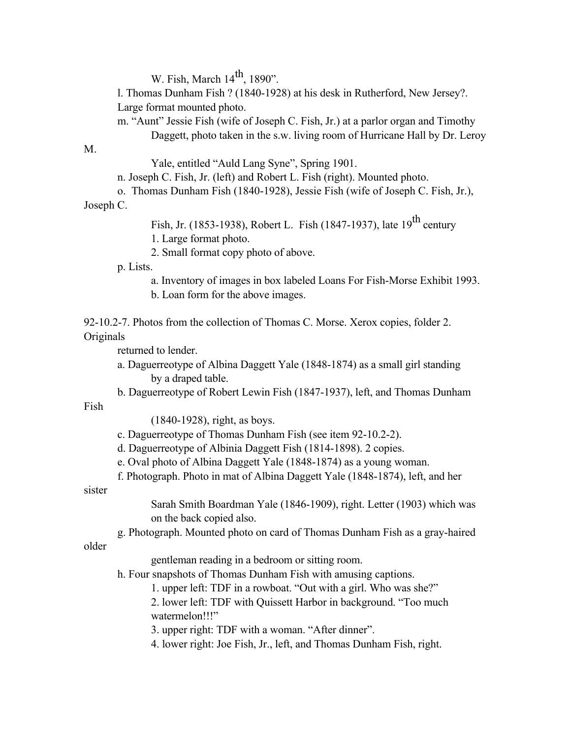W. Fish, March  $14<sup>th</sup>$ , 1890".

l. Thomas Dunham Fish ? (1840-1928) at his desk in Rutherford, New Jersey?. Large format mounted photo.

m. "Aunt" Jessie Fish (wife of Joseph C. Fish, Jr.) at a parlor organ and Timothy Daggett, photo taken in the s.w. living room of Hurricane Hall by Dr. Leroy

M.

Yale, entitled "Auld Lang Syne", Spring 1901.

n. Joseph C. Fish, Jr. (left) and Robert L. Fish (right). Mounted photo.

o. Thomas Dunham Fish (1840-1928), Jessie Fish (wife of Joseph C. Fish, Jr.), Joseph C.

Fish, Jr. (1853-1938), Robert L. Fish (1847-1937), late  $19^{th}$  century

1. Large format photo.

2. Small format copy photo of above.

p. Lists.

a. Inventory of images in box labeled Loans For Fish-Morse Exhibit 1993.

b. Loan form for the above images.

92-10.2-7. Photos from the collection of Thomas C. Morse. Xerox copies, folder 2. Originals

returned to lender.

- a. Daguerreotype of Albina Daggett Yale (1848-1874) as a small girl standing by a draped table.
- b. Daguerreotype of Robert Lewin Fish (1847-1937), left, and Thomas Dunham

Fish

(1840-1928), right, as boys.

- c. Daguerreotype of Thomas Dunham Fish (see item 92-10.2-2).
- d. Daguerreotype of Albinia Daggett Fish (1814-1898). 2 copies.
- e. Oval photo of Albina Daggett Yale (1848-1874) as a young woman.
- f. Photograph. Photo in mat of Albina Daggett Yale (1848-1874), left, and her

sister

Sarah Smith Boardman Yale (1846-1909), right. Letter (1903) which was on the back copied also.

g. Photograph. Mounted photo on card of Thomas Dunham Fish as a gray-haired

older

gentleman reading in a bedroom or sitting room.

h. Four snapshots of Thomas Dunham Fish with amusing captions.

1. upper left: TDF in a rowboat. "Out with a girl. Who was she?"

2. lower left: TDF with Quissett Harbor in background. "Too much watermelon!!!"

3. upper right: TDF with a woman. "After dinner".

4. lower right: Joe Fish, Jr., left, and Thomas Dunham Fish, right.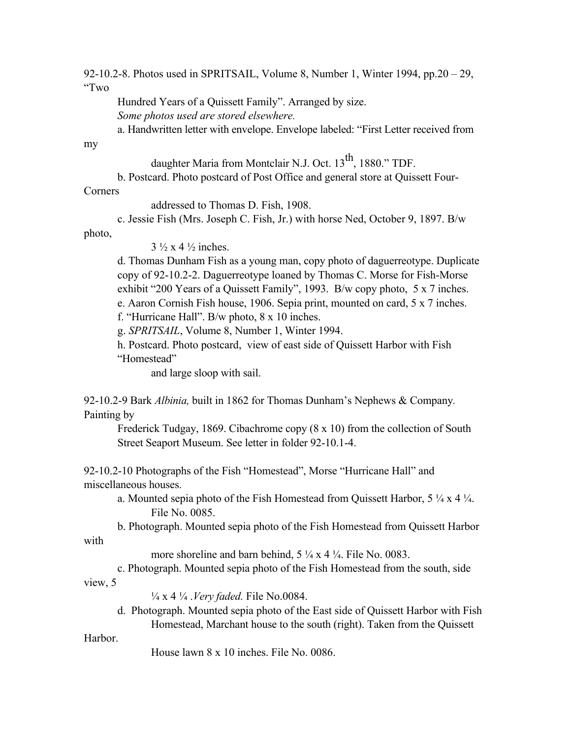92-10.2-8. Photos used in SPRITSAIL, Volume 8, Number 1, Winter 1994, pp.20 – 29, "Two

Hundred Years of a Quissett Family". Arranged by size. *Some photos used are stored elsewhere.*

a. Handwritten letter with envelope. Envelope labeled: "First Letter received from

my

daughter Maria from Montclair N.J. Oct. 13<sup>th</sup>, 1880." TDF.

b. Postcard. Photo postcard of Post Office and general store at Quissett Four-

Corners

addressed to Thomas D. Fish, 1908.

c. Jessie Fish (Mrs. Joseph C. Fish, Jr.) with horse Ned, October 9, 1897. B/w

photo,

 $3\frac{1}{2}$  x 4  $\frac{1}{2}$  inches.

d. Thomas Dunham Fish as a young man, copy photo of daguerreotype. Duplicate copy of 92-10.2-2. Daguerreotype loaned by Thomas C. Morse for Fish-Morse exhibit "200 Years of a Quissett Family", 1993. B/w copy photo, 5 x 7 inches. e. Aaron Cornish Fish house, 1906. Sepia print, mounted on card, 5 x 7 inches.

f. "Hurricane Hall". B/w photo, 8 x 10 inches.

g. *SPRITSAIL*, Volume 8, Number 1, Winter 1994.

h. Postcard. Photo postcard, view of east side of Quissett Harbor with Fish "Homestead"

and large sloop with sail.

92-10.2-9 Bark *Albinia,* built in 1862 for Thomas Dunham's Nephews & Company*.* Painting by

Frederick Tudgay, 1869. Cibachrome copy (8 x 10) from the collection of South Street Seaport Museum. See letter in folder 92-10.1-4.

92-10.2-10 Photographs of the Fish "Homestead", Morse "Hurricane Hall" and miscellaneous houses.

a. Mounted sepia photo of the Fish Homestead from Quissett Harbor,  $5\frac{1}{4} \times 4\frac{1}{4}$ . File No. 0085.

b. Photograph. Mounted sepia photo of the Fish Homestead from Quissett Harbor

more shoreline and barn behind,  $5\frac{1}{4} \times 4\frac{1}{4}$ . File No. 0083.

c. Photograph. Mounted sepia photo of the Fish Homestead from the south, side view, 5

¼ x 4 ¼ .*Very faded.* File No.0084.

d. Photograph. Mounted sepia photo of the East side of Quissett Harbor with Fish Homestead, Marchant house to the south (right). Taken from the Quissett

Harbor.

with

House lawn 8 x 10 inches. File No. 0086.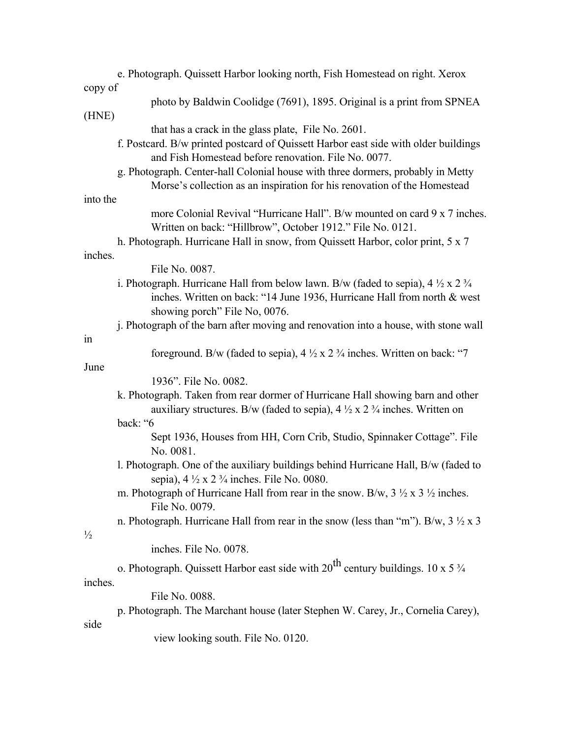| e. Photograph. Quissett Harbor looking north, Fish Homestead on right. Xerox                            |  |
|---------------------------------------------------------------------------------------------------------|--|
| copy of                                                                                                 |  |
| photo by Baldwin Coolidge (7691), 1895. Original is a print from SPNEA                                  |  |
| (HNE)                                                                                                   |  |
| that has a crack in the glass plate, File No. 2601.                                                     |  |
| f. Postcard. B/w printed postcard of Quissett Harbor east side with older buildings                     |  |
| and Fish Homestead before renovation. File No. 0077.                                                    |  |
| g. Photograph. Center-hall Colonial house with three dormers, probably in Metty                         |  |
| Morse's collection as an inspiration for his renovation of the Homestead                                |  |
| into the                                                                                                |  |
| more Colonial Revival "Hurricane Hall". B/w mounted on card 9 x 7 inches.                               |  |
| Written on back: "Hillbrow", October 1912." File No. 0121.                                              |  |
| h. Photograph. Hurricane Hall in snow, from Quissett Harbor, color print, 5 x 7                         |  |
| inches.                                                                                                 |  |
| File No. 0087.                                                                                          |  |
| i. Photograph. Hurricane Hall from below lawn. B/w (faded to sepia), $4\frac{1}{2} \times 2\frac{3}{4}$ |  |
| inches. Written on back: "14 June 1936, Hurricane Hall from north & west                                |  |
| showing porch" File No, 0076.                                                                           |  |
| j. Photograph of the barn after moving and renovation into a house, with stone wall                     |  |
| in                                                                                                      |  |
| foreground. B/w (faded to sepia), $4\frac{1}{2} \times 2\frac{3}{4}$ inches. Written on back: "7        |  |
| June                                                                                                    |  |
| 1936". File No. 0082.                                                                                   |  |
| k. Photograph. Taken from rear dormer of Hurricane Hall showing barn and other                          |  |
| auxiliary structures. B/w (faded to sepia), $4\frac{1}{2} \times 2\frac{3}{4}$ inches. Written on       |  |
| back: "6                                                                                                |  |
| Sept 1936, Houses from HH, Corn Crib, Studio, Spinnaker Cottage". File                                  |  |
| No. 0081.                                                                                               |  |
| l. Photograph. One of the auxiliary buildings behind Hurricane Hall, B/w (faded to                      |  |
| sepia), $4\frac{1}{2} \times 2\frac{3}{4}$ inches. File No. 0080.                                       |  |
| m. Photograph of Hurricane Hall from rear in the snow. B/w, $3\frac{1}{2} \times 3\frac{1}{2}$ inches.  |  |
| File No. 0079.                                                                                          |  |
| n. Photograph. Hurricane Hall from rear in the snow (less than "m"). B/w, $3\frac{1}{2} \times 3$       |  |
| $\frac{1}{2}$                                                                                           |  |
| inches. File No. 0078.                                                                                  |  |
| o. Photograph. Quissett Harbor east side with $20^{th}$ century buildings. 10 x 5 $\frac{3}{4}$         |  |
| inches.                                                                                                 |  |
| File No. 0088.                                                                                          |  |
|                                                                                                         |  |
|                                                                                                         |  |
| p. Photograph. The Marchant house (later Stephen W. Carey, Jr., Cornelia Carey),<br>side                |  |

view looking south. File No. 0120.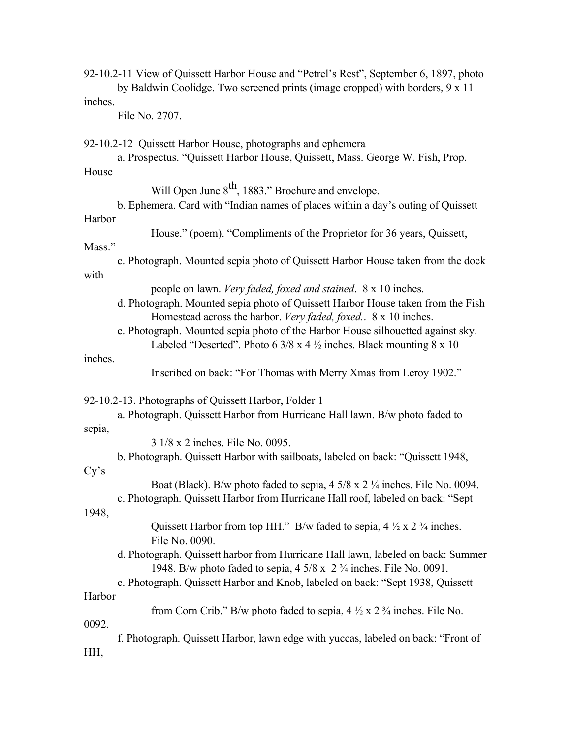|         | 92-10.2-11 View of Quissett Harbor House and "Petrel's Rest", September 6, 1897, photo<br>by Baldwin Coolidge. Two screened prints (image cropped) with borders, 9 x 11                                            |
|---------|--------------------------------------------------------------------------------------------------------------------------------------------------------------------------------------------------------------------|
| inches. |                                                                                                                                                                                                                    |
|         | File No. 2707.                                                                                                                                                                                                     |
|         | 92-10.2-12 Quissett Harbor House, photographs and ephemera<br>a. Prospectus. "Quissett Harbor House, Quissett, Mass. George W. Fish, Prop.                                                                         |
| House   |                                                                                                                                                                                                                    |
|         | Will Open June 8 <sup>th</sup> , 1883." Brochure and envelope.                                                                                                                                                     |
|         | b. Ephemera. Card with "Indian names of places within a day's outing of Quissett                                                                                                                                   |
| Harbor  |                                                                                                                                                                                                                    |
| Mass."  | House." (poem). "Compliments of the Proprietor for 36 years, Quissett,                                                                                                                                             |
|         | c. Photograph. Mounted sepia photo of Quissett Harbor House taken from the dock                                                                                                                                    |
| with    |                                                                                                                                                                                                                    |
|         | people on lawn. Very faded, foxed and stained. 8 x 10 inches.<br>d. Photograph. Mounted sepia photo of Quissett Harbor House taken from the Fish<br>Homestead across the harbor. Very faded, foxed. 8 x 10 inches. |
|         | e. Photograph. Mounted sepia photo of the Harbor House silhouetted against sky.<br>Labeled "Deserted". Photo 6 3/8 x 4 $\frac{1}{2}$ inches. Black mounting 8 x 10                                                 |
| inches. |                                                                                                                                                                                                                    |
|         | Inscribed on back: "For Thomas with Merry Xmas from Leroy 1902."                                                                                                                                                   |
|         | 92-10.2-13. Photographs of Quissett Harbor, Folder 1                                                                                                                                                               |
|         | a. Photograph. Quissett Harbor from Hurricane Hall lawn. B/w photo faded to                                                                                                                                        |
| sepia,  |                                                                                                                                                                                                                    |
|         | 3 1/8 x 2 inches. File No. 0095.                                                                                                                                                                                   |
| Cy's    | b. Photograph. Quissett Harbor with sailboats, labeled on back: "Quissett 1948,                                                                                                                                    |
|         | Boat (Black). B/w photo faded to sepia, 4 5/8 x 2 1/4 inches. File No. 0094.                                                                                                                                       |
| 1948,   | c. Photograph. Quissett Harbor from Hurricane Hall roof, labeled on back: "Sept                                                                                                                                    |
|         | Quissett Harbor from top HH." B/w faded to sepia, $4\frac{1}{2} \times 2\frac{3}{4}$ inches.<br>File No. 0090.                                                                                                     |
|         | d. Photograph. Quissett harbor from Hurricane Hall lawn, labeled on back: Summer<br>1948. B/w photo faded to sepia, $4\frac{5}{8} \times 2\frac{3}{4}$ inches. File No. 0091.                                      |
|         | e. Photograph. Quissett Harbor and Knob, labeled on back: "Sept 1938, Quissett                                                                                                                                     |
| Harbor  |                                                                                                                                                                                                                    |
|         | from Corn Crib." B/w photo faded to sepia, $4\frac{1}{2} \times 2\frac{3}{4}$ inches. File No.                                                                                                                     |
| 0092.   | f. Photograph. Quissett Harbor, lawn edge with yuccas, labeled on back: "Front of                                                                                                                                  |
| HH,     |                                                                                                                                                                                                                    |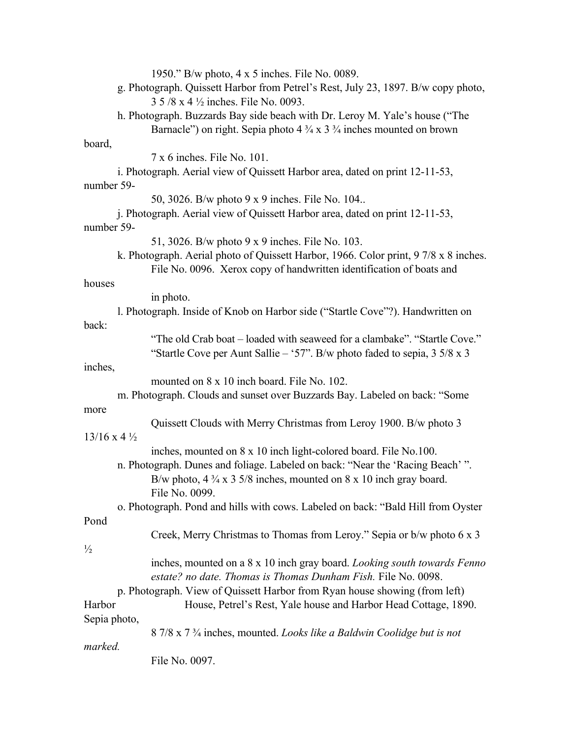| 1950." B/w photo, 4 x 5 inches. File No. 0089.                                                  |
|-------------------------------------------------------------------------------------------------|
| g. Photograph. Quissett Harbor from Petrel's Rest, July 23, 1897. B/w copy photo,               |
| 3 5/8 x 4 1/2 inches. File No. 0093.                                                            |
| h. Photograph. Buzzards Bay side beach with Dr. Leroy M. Yale's house ("The                     |
| Barnacle") on right. Sepia photo $4\frac{3}{4} \times 3\frac{3}{4}$ inches mounted on brown     |
| board,                                                                                          |
| 7 x 6 inches. File No. 101.                                                                     |
|                                                                                                 |
| i. Photograph. Aerial view of Quissett Harbor area, dated on print 12-11-53,                    |
| number 59-                                                                                      |
| 50, 3026. B/w photo 9 x 9 inches. File No. 104                                                  |
| j. Photograph. Aerial view of Quissett Harbor area, dated on print 12-11-53,                    |
| number 59-                                                                                      |
| 51, 3026. B/w photo 9 x 9 inches. File No. 103.                                                 |
| k. Photograph. Aerial photo of Quissett Harbor, 1966. Color print, 9 7/8 x 8 inches.            |
| File No. 0096. Xerox copy of handwritten identification of boats and                            |
| houses                                                                                          |
| in photo.                                                                                       |
| 1. Photograph. Inside of Knob on Harbor side ("Startle Cove"?). Handwritten on                  |
| back:                                                                                           |
| "The old Crab boat – loaded with seaweed for a clambake". "Startle Cove."                       |
| "Startle Cove per Aunt Sallie – '57". B/w photo faded to sepia, $3\frac{5}{8} \times 3$         |
| inches,                                                                                         |
| mounted on 8 x 10 inch board. File No. 102.                                                     |
| m. Photograph. Clouds and sunset over Buzzards Bay. Labeled on back: "Some                      |
|                                                                                                 |
| more                                                                                            |
| Quissett Clouds with Merry Christmas from Leroy 1900. B/w photo 3                               |
| $13/16 \times 4\frac{1}{2}$                                                                     |
| inches, mounted on 8 x 10 inch light-colored board. File No.100.                                |
| n. Photograph. Dunes and foliage. Labeled on back: "Near the 'Racing Beach'".                   |
| B/w photo, $4\frac{3}{4} \times 3\frac{5}{8}$ inches, mounted on $8 \times 10$ inch gray board. |
| File No. 0099.                                                                                  |
| o. Photograph. Pond and hills with cows. Labeled on back: "Bald Hill from Oyster                |
| Pond                                                                                            |
| Creek, Merry Christmas to Thomas from Leroy." Sepia or b/w photo 6 x 3                          |
| $\frac{1}{2}$                                                                                   |
| inches, mounted on a 8 x 10 inch gray board. Looking south towards Fenno                        |
| estate? no date. Thomas is Thomas Dunham Fish. File No. 0098.                                   |
| p. Photograph. View of Quissett Harbor from Ryan house showing (from left)                      |
| House, Petrel's Rest, Yale house and Harbor Head Cottage, 1890.<br>Harbor                       |
| Sepia photo,                                                                                    |
| 8 7/8 x 7 <sup>3</sup> / <sub>4</sub> inches, mounted. Looks like a Baldwin Coolidge but is not |
| marked.                                                                                         |
|                                                                                                 |
| File No. 0097.                                                                                  |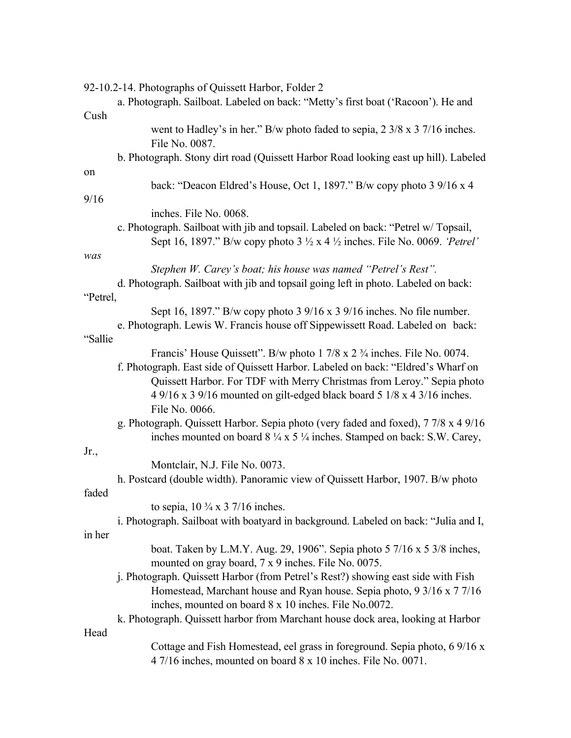|          | 92-10.2-14. Photographs of Quissett Harbor, Folder 2                                                                                                                                  |
|----------|---------------------------------------------------------------------------------------------------------------------------------------------------------------------------------------|
|          | a. Photograph. Sailboat. Labeled on back: "Metty's first boat ('Racoon'). He and                                                                                                      |
| Cush     |                                                                                                                                                                                       |
|          | went to Hadley's in her." B/w photo faded to sepia, 2 3/8 x 3 7/16 inches.<br>File No. 0087.                                                                                          |
|          | b. Photograph. Stony dirt road (Quissett Harbor Road looking east up hill). Labeled                                                                                                   |
| on       |                                                                                                                                                                                       |
|          | back: "Deacon Eldred's House, Oct 1, 1897." B/w copy photo 3 9/16 x 4                                                                                                                 |
| 9/16     |                                                                                                                                                                                       |
|          | inches. File No. 0068.                                                                                                                                                                |
|          | c. Photograph. Sailboat with jib and topsail. Labeled on back: "Petrel w/ Topsail,<br>Sept 16, 1897." B/w copy photo $3\frac{1}{2}$ x 4 $\frac{1}{2}$ inches. File No. 0069. 'Petrel' |
| was      |                                                                                                                                                                                       |
|          | Stephen W. Carey's boat; his house was named "Petrel's Rest".                                                                                                                         |
|          | d. Photograph. Sailboat with jib and topsail going left in photo. Labeled on back:                                                                                                    |
| "Petrel, |                                                                                                                                                                                       |
|          | Sept 16, 1897." B/w copy photo 3 $9/16 \times 3$ 9/16 inches. No file number.                                                                                                         |
|          | e. Photograph. Lewis W. Francis house off Sippewissett Road. Labeled on back:                                                                                                         |
| "Sallie" |                                                                                                                                                                                       |
|          | Francis' House Quissett". B/w photo 1 7/8 x 2 <sup>3</sup> / <sub>4</sub> inches. File No. 0074.                                                                                      |
|          | f. Photograph. East side of Quissett Harbor. Labeled on back: "Eldred's Wharf on                                                                                                      |
|          | Quissett Harbor. For TDF with Merry Christmas from Leroy." Sepia photo                                                                                                                |
|          | 4 9/16 x 3 9/16 mounted on gilt-edged black board 5 1/8 x 4 3/16 inches.                                                                                                              |
|          | File No. 0066.                                                                                                                                                                        |
|          | g. Photograph. Quissett Harbor. Sepia photo (very faded and foxed), 7 7/8 x 4 9/16                                                                                                    |
|          | inches mounted on board $8\frac{1}{4} \times 5\frac{1}{4}$ inches. Stamped on back: S.W. Carey,                                                                                       |
| Jr.,     |                                                                                                                                                                                       |
|          | Montclair, N.J. File No. 0073.                                                                                                                                                        |
|          | h. Postcard (double width). Panoramic view of Quissett Harbor, 1907. B/w photo                                                                                                        |
| faded    |                                                                                                                                                                                       |
|          | to sepia, $10\frac{3}{4} \times 3\frac{7}{16}$ inches.                                                                                                                                |
|          | i. Photograph. Sailboat with boatyard in background. Labeled on back: "Julia and I,                                                                                                   |
| in her   |                                                                                                                                                                                       |
|          | boat. Taken by L.M.Y. Aug. 29, 1906". Sepia photo $57/16 \times 53/8$ inches,                                                                                                         |
|          | mounted on gray board, 7 x 9 inches. File No. 0075.                                                                                                                                   |
|          | j. Photograph. Quissett Harbor (from Petrel's Rest?) showing east side with Fish                                                                                                      |
|          | Homestead, Marchant house and Ryan house. Sepia photo, 9 3/16 x 7 7/16                                                                                                                |
|          | inches, mounted on board 8 x 10 inches. File No.0072.                                                                                                                                 |
|          | k. Photograph. Quissett harbor from Marchant house dock area, looking at Harbor                                                                                                       |
| Head     |                                                                                                                                                                                       |
|          | Cottage and Fish Homestead, eel grass in foreground. Sepia photo, 6 9/16 x                                                                                                            |
|          | 4 7/16 inches, mounted on board 8 x 10 inches. File No. 0071.                                                                                                                         |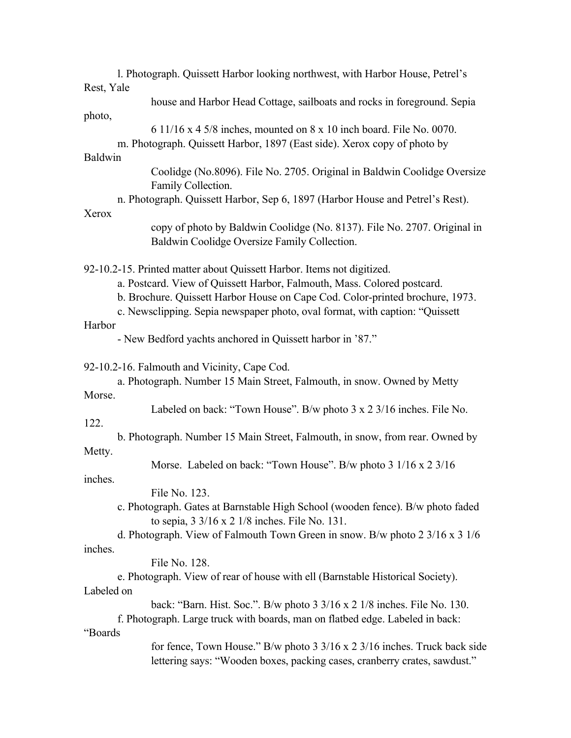|                | 1. Photograph. Quissett Harbor looking northwest, with Harbor House, Petrel's                       |
|----------------|-----------------------------------------------------------------------------------------------------|
| Rest, Yale     |                                                                                                     |
|                | house and Harbor Head Cottage, sailboats and rocks in foreground. Sepia                             |
| photo,         |                                                                                                     |
|                | 6 11/16 x 4 5/8 inches, mounted on 8 x 10 inch board. File No. 0070.                                |
|                | m. Photograph. Quissett Harbor, 1897 (East side). Xerox copy of photo by                            |
| <b>Baldwin</b> |                                                                                                     |
|                | Coolidge (No.8096). File No. 2705. Original in Baldwin Coolidge Oversize                            |
|                | Family Collection.                                                                                  |
|                | n. Photograph. Quissett Harbor, Sep 6, 1897 (Harbor House and Petrel's Rest).                       |
| Xerox          |                                                                                                     |
|                | copy of photo by Baldwin Coolidge (No. 8137). File No. 2707. Original in                            |
|                | Baldwin Coolidge Oversize Family Collection.                                                        |
|                |                                                                                                     |
|                | 92-10.2-15. Printed matter about Quissett Harbor. Items not digitized.                              |
|                | a. Postcard. View of Quissett Harbor, Falmouth, Mass. Colored postcard.                             |
|                | b. Brochure. Quissett Harbor House on Cape Cod. Color-printed brochure, 1973.                       |
|                | c. Newsclipping. Sepia newspaper photo, oval format, with caption: "Quissett"                       |
| Harbor         |                                                                                                     |
|                | - New Bedford yachts anchored in Quissett harbor in '87."                                           |
|                | 92-10.2-16. Falmouth and Vicinity, Cape Cod.                                                        |
|                | a. Photograph. Number 15 Main Street, Falmouth, in snow. Owned by Metty                             |
| Morse.         |                                                                                                     |
|                | Labeled on back: "Town House". B/w photo 3 x 2 3/16 inches. File No.                                |
| 122.           |                                                                                                     |
|                | b. Photograph. Number 15 Main Street, Falmouth, in snow, from rear. Owned by                        |
| Metty.         |                                                                                                     |
|                | Morse. Labeled on back: "Town House". B/w photo 3 1/16 x 2 3/16                                     |
| inches.        |                                                                                                     |
|                | File No. 123.                                                                                       |
|                | c. Photograph. Gates at Barnstable High School (wooden fence). B/w photo faded                      |
|                | to sepia, $3 \frac{3}{16} \times 2 \frac{1}{8}$ inches. File No. 131.                               |
|                | d. Photograph. View of Falmouth Town Green in snow. B/w photo $2 \frac{3}{16} \times 3 \frac{1}{6}$ |
| inches.        |                                                                                                     |
|                | File No. 128.                                                                                       |
|                | e. Photograph. View of rear of house with ell (Barnstable Historical Society).                      |
| Labeled on     |                                                                                                     |
|                | back: "Barn. Hist. Soc.". B/w photo $3\frac{3}{16} \times 2\frac{1}{8}$ inches. File No. 130.       |
|                | f. Photograph. Large truck with boards, man on flatbed edge. Labeled in back:                       |
| "Boards"       |                                                                                                     |
|                | for fence, Town House." B/w photo $3\frac{3}{16} \times 2\frac{3}{16}$ inches. Truck back side      |
|                | lettering says: "Wooden boxes, packing cases, cranberry crates, sawdust."                           |
|                |                                                                                                     |
|                |                                                                                                     |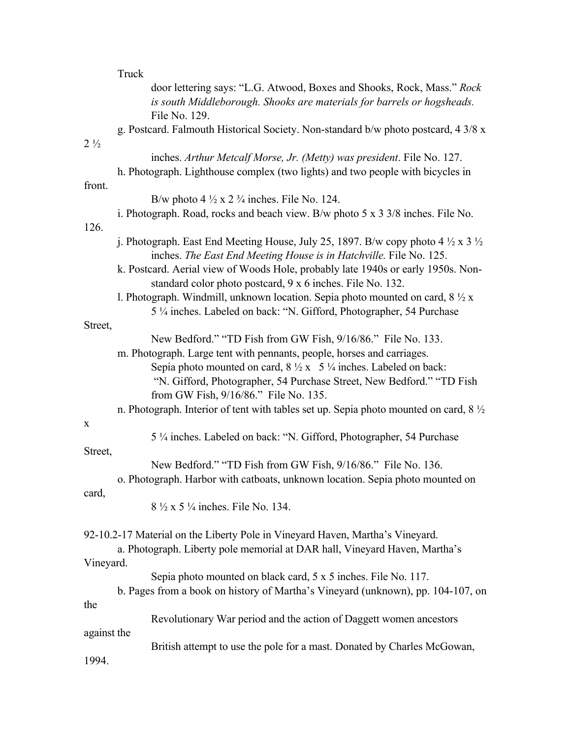|                | Truck                                                                                                                                                                                                                                                                                                                                             |
|----------------|---------------------------------------------------------------------------------------------------------------------------------------------------------------------------------------------------------------------------------------------------------------------------------------------------------------------------------------------------|
|                | door lettering says: "L.G. Atwood, Boxes and Shooks, Rock, Mass." Rock<br>is south Middleborough. Shooks are materials for barrels or hogsheads.<br>File No. 129.                                                                                                                                                                                 |
| $2\frac{1}{2}$ | g. Postcard. Falmouth Historical Society. Non-standard b/w photo postcard, 4 3/8 x                                                                                                                                                                                                                                                                |
|                | inches. Arthur Metcalf Morse, Jr. (Metty) was president. File No. 127.                                                                                                                                                                                                                                                                            |
| front.         | h. Photograph. Lighthouse complex (two lights) and two people with bicycles in                                                                                                                                                                                                                                                                    |
|                | B/w photo $4\frac{1}{2} \times 2\frac{3}{4}$ inches. File No. 124.                                                                                                                                                                                                                                                                                |
| 126.           | i. Photograph. Road, rocks and beach view. B/w photo $5 \times 3 \frac{3}{8}$ inches. File No.                                                                                                                                                                                                                                                    |
|                | j. Photograph. East End Meeting House, July 25, 1897. B/w copy photo 4 $\frac{1}{2}$ x 3 $\frac{1}{2}$<br>inches. The East End Meeting House is in Hatchville. File No. 125.                                                                                                                                                                      |
|                | k. Postcard. Aerial view of Woods Hole, probably late 1940s or early 1950s. Non-<br>standard color photo postcard, 9 x 6 inches. File No. 132.                                                                                                                                                                                                    |
|                | l. Photograph. Windmill, unknown location. Sepia photo mounted on card, $8\frac{1}{2}x$<br>5 1/4 inches. Labeled on back: "N. Gifford, Photographer, 54 Purchase                                                                                                                                                                                  |
| Street,        |                                                                                                                                                                                                                                                                                                                                                   |
|                | New Bedford." "TD Fish from GW Fish, 9/16/86." File No. 133.<br>m. Photograph. Large tent with pennants, people, horses and carriages.<br>Sepia photo mounted on card, $8\frac{1}{2}x$ 5 $\frac{1}{4}$ inches. Labeled on back:<br>"N. Gifford, Photographer, 54 Purchase Street, New Bedford." "TD Fish<br>from GW Fish, 9/16/86." File No. 135. |
|                | n. Photograph. Interior of tent with tables set up. Sepia photo mounted on card, 8 1/2                                                                                                                                                                                                                                                            |
| $\mathbf X$    |                                                                                                                                                                                                                                                                                                                                                   |
| Street,        | 5 ¼ inches. Labeled on back: "N. Gifford, Photographer, 54 Purchase                                                                                                                                                                                                                                                                               |
|                | New Bedford." "TD Fish from GW Fish, 9/16/86." File No. 136.                                                                                                                                                                                                                                                                                      |
| card,          | o. Photograph. Harbor with catboats, unknown location. Sepia photo mounted on                                                                                                                                                                                                                                                                     |
|                | 8 $\frac{1}{2}$ x 5 $\frac{1}{4}$ inches. File No. 134.                                                                                                                                                                                                                                                                                           |
|                | 92-10.2-17 Material on the Liberty Pole in Vineyard Haven, Martha's Vineyard.<br>a. Photograph. Liberty pole memorial at DAR hall, Vineyard Haven, Martha's                                                                                                                                                                                       |
| Vineyard.      |                                                                                                                                                                                                                                                                                                                                                   |
|                | Sepia photo mounted on black card, 5 x 5 inches. File No. 117.<br>b. Pages from a book on history of Martha's Vineyard (unknown), pp. 104-107, on                                                                                                                                                                                                 |
| the            |                                                                                                                                                                                                                                                                                                                                                   |
| against the    | Revolutionary War period and the action of Daggett women ancestors                                                                                                                                                                                                                                                                                |
|                | British attempt to use the pole for a mast. Donated by Charles McGowan,                                                                                                                                                                                                                                                                           |
| 1994.          |                                                                                                                                                                                                                                                                                                                                                   |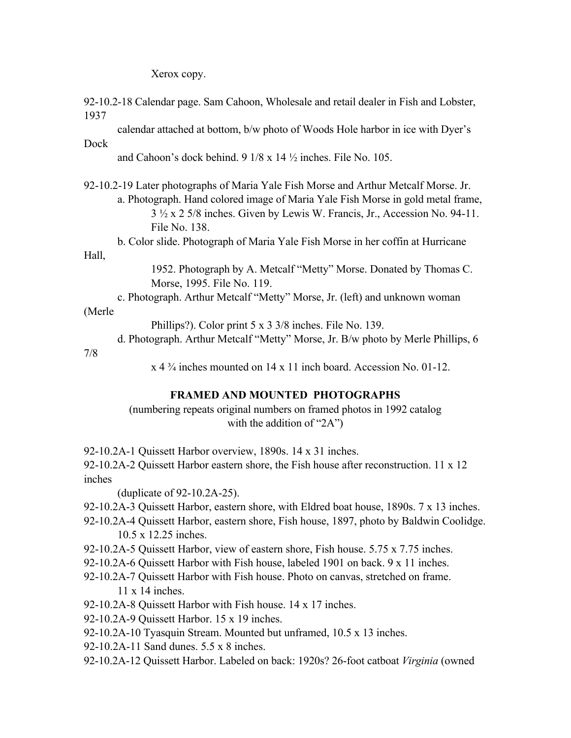Xerox copy.

| 1937   | 92-10.2-18 Calendar page. Sam Cahoon, Wholesale and retail dealer in Fish and Lobster,                 |
|--------|--------------------------------------------------------------------------------------------------------|
|        | calendar attached at bottom, b/w photo of Woods Hole harbor in ice with Dyer's                         |
| Dock   |                                                                                                        |
|        | and Cahoon's dock behind. $9 \frac{1}{8} \times 14 \frac{1}{2}$ inches. File No. 105.                  |
|        | 92-10.2-19 Later photographs of Maria Yale Fish Morse and Arthur Metcalf Morse. Jr.                    |
|        | a. Photograph. Hand colored image of Maria Yale Fish Morse in gold metal frame,                        |
|        | $3\frac{1}{2} \times 2$ 5/8 inches. Given by Lewis W. Francis, Jr., Accession No. 94-11.               |
|        | File No. 138.                                                                                          |
|        | b. Color slide. Photograph of Maria Yale Fish Morse in her coffin at Hurricane                         |
| Hall,  |                                                                                                        |
|        | 1952. Photograph by A. Metcalf "Metty" Morse. Donated by Thomas C.                                     |
|        | Morse, 1995. File No. 119.                                                                             |
|        | c. Photograph. Arthur Metcalf "Metty" Morse, Jr. (left) and unknown woman                              |
| (Merle |                                                                                                        |
|        | Phillips?). Color print $5 \times 3 \frac{3}{8}$ inches. File No. 139.                                 |
|        | d. Photograph. Arthur Metcalf "Metty" Morse, Jr. B/w photo by Merle Phillips, 6                        |
| 7/8    |                                                                                                        |
|        | $x$ 4 $\frac{3}{4}$ inches mounted on 14 x 11 inch board. Accession No. 01-12.                         |
|        | <b>FRAMED AND MOUNTED PHOTOGRAPHS</b>                                                                  |
|        | (numbering repeats original numbers on framed photos in 1992 catalog<br>with the addition of " $2A$ ") |

92-10.2A-1 Quissett Harbor overview, 1890s. 14 x 31 inches.

92-10.2A-2 Quissett Harbor eastern shore, the Fish house after reconstruction. 11 x 12 inches

(duplicate of 92-10.2A-25).

- 92-10.2A-3 Quissett Harbor, eastern shore, with Eldred boat house, 1890s. 7 x 13 inches.
- 92-10.2A-4 Quissett Harbor, eastern shore, Fish house, 1897, photo by Baldwin Coolidge. 10.5 x 12.25 inches.
- 92-10.2A-5 Quissett Harbor, view of eastern shore, Fish house. 5.75 x 7.75 inches.
- 92-10.2A-6 Quissett Harbor with Fish house, labeled 1901 on back. 9 x 11 inches.
- 92-10.2A-7 Quissett Harbor with Fish house. Photo on canvas, stretched on frame. 11 x 14 inches.
- 92-10.2A-8 Quissett Harbor with Fish house. 14 x 17 inches.
- 92-10.2A-9 Quissett Harbor. 15 x 19 inches.
- 92-10.2A-10 Tyasquin Stream. Mounted but unframed, 10.5 x 13 inches.
- 92-10.2A-11 Sand dunes. 5.5 x 8 inches.
- 92-10.2A-12 Quissett Harbor. Labeled on back: 1920s? 26-foot catboat *Virginia* (owned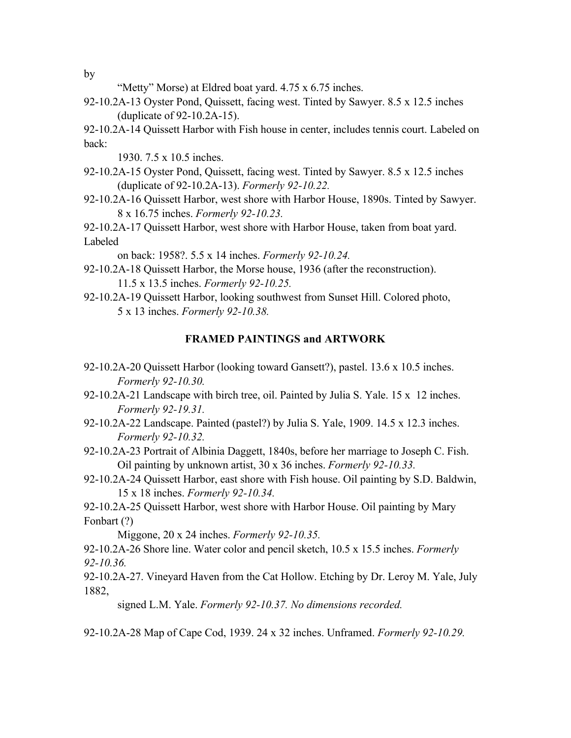by

- "Metty" Morse) at Eldred boat yard. 4.75 x 6.75 inches.
- 92-10.2A-13 Oyster Pond, Quissett, facing west. Tinted by Sawyer. 8.5 x 12.5 inches (duplicate of 92-10.2A-15).

92-10.2A-14 Quissett Harbor with Fish house in center, includes tennis court. Labeled on back:

1930. 7.5 x 10.5 inches.

- 92-10.2A-15 Oyster Pond, Quissett, facing west. Tinted by Sawyer. 8.5 x 12.5 inches (duplicate of 92-10.2A-13). *Formerly 92-10.22.*
- 92-10.2A-16 Quissett Harbor, west shore with Harbor House, 1890s. Tinted by Sawyer. 8 x 16.75 inches. *Formerly 92-10.23.*

92-10.2A-17 Quissett Harbor, west shore with Harbor House, taken from boat yard. Labeled

on back: 1958?. 5.5 x 14 inches. *Formerly 92-10.24.*

- 92-10.2A-18 Quissett Harbor, the Morse house, 1936 (after the reconstruction). 11.5 x 13.5 inches. *Formerly 92-10.25.*
- 92-10.2A-19 Quissett Harbor, looking southwest from Sunset Hill. Colored photo, 5 x 13 inches. *Formerly 92-10.38.*

### **FRAMED PAINTINGS and ARTWORK**

- 92-10.2A-20 Quissett Harbor (looking toward Gansett?), pastel. 13.6 x 10.5 inches. *Formerly 92-10.30.*
- 92-10.2A-21 Landscape with birch tree, oil. Painted by Julia S. Yale. 15 x 12 inches. *Formerly 92-19.31.*
- 92-10.2A-22 Landscape. Painted (pastel?) by Julia S. Yale, 1909. 14.5 x 12.3 inches. *Formerly 92-10.32.*
- 92-10.2A-23 Portrait of Albinia Daggett, 1840s, before her marriage to Joseph C. Fish. Oil painting by unknown artist, 30 x 36 inches. *Formerly 92-10.33.*
- 92-10.2A-24 Quissett Harbor, east shore with Fish house. Oil painting by S.D. Baldwin, 15 x 18 inches. *Formerly 92-10.34.*

92-10.2A-25 Quissett Harbor, west shore with Harbor House. Oil painting by Mary Fonbart (?)

Miggone, 20 x 24 inches. *Formerly 92-10.35.*

92-10.2A-26 Shore line. Water color and pencil sketch, 10.5 x 15.5 inches. *Formerly 92-10.36.*

92-10.2A-27. Vineyard Haven from the Cat Hollow. Etching by Dr. Leroy M. Yale, July 1882,

signed L.M. Yale. *Formerly 92-10.37. No dimensions recorded.*

92-10.2A-28 Map of Cape Cod, 1939. 24 x 32 inches. Unframed. *Formerly 92-10.29.*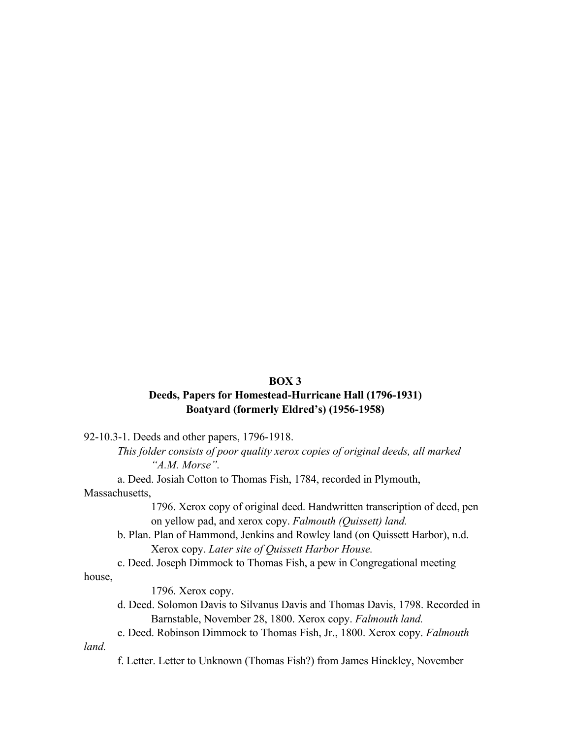### **BOX 3**

## **Deeds, Papers for Homestead-Hurricane Hall (1796-1931) Boatyard (formerly Eldred's) (1956-1958)**

92-10.3-1. Deeds and other papers, 1796-1918.

*This folder consists of poor quality xerox copies of original deeds, all marked "A.M. Morse".*

a. Deed. Josiah Cotton to Thomas Fish, 1784, recorded in Plymouth,

Massachusetts,

1796. Xerox copy of original deed. Handwritten transcription of deed, pen on yellow pad, and xerox copy. *Falmouth (Quissett) land.*

b. Plan. Plan of Hammond, Jenkins and Rowley land (on Quissett Harbor), n.d. Xerox copy. *Later site of Quissett Harbor House.*

c. Deed. Joseph Dimmock to Thomas Fish, a pew in Congregational meeting

house,

1796. Xerox copy.

- d. Deed. Solomon Davis to Silvanus Davis and Thomas Davis, 1798. Recorded in Barnstable, November 28, 1800. Xerox copy. *Falmouth land.*
- e. Deed. Robinson Dimmock to Thomas Fish, Jr., 1800. Xerox copy. *Falmouth*

*land.*

f. Letter. Letter to Unknown (Thomas Fish?) from James Hinckley, November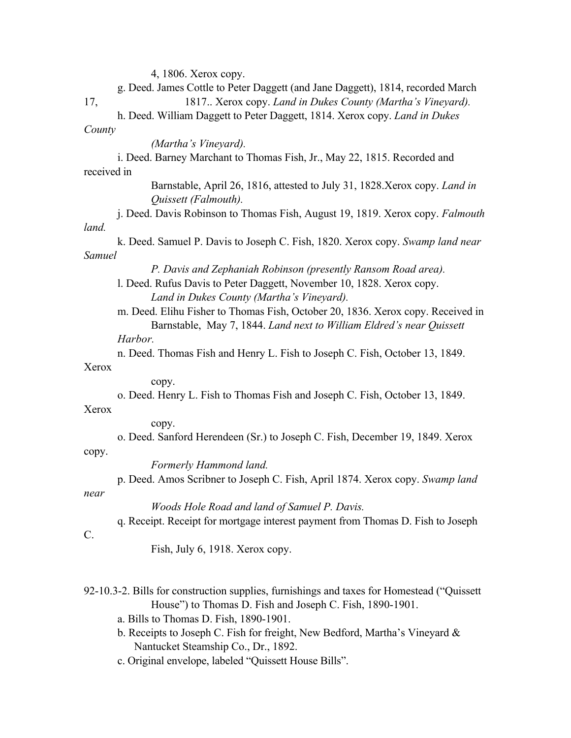4, 1806. Xerox copy.

|             | g. Deed. James Cottle to Peter Daggett (and Jane Daggett), 1814, recorded March                                                          |  |  |  |  |  |  |  |  |
|-------------|------------------------------------------------------------------------------------------------------------------------------------------|--|--|--|--|--|--|--|--|
| 17,         | 1817 Xerox copy. Land in Dukes County (Martha's Vineyard).<br>h. Deed. William Daggett to Peter Daggett, 1814. Xerox copy. Land in Dukes |  |  |  |  |  |  |  |  |
| County      |                                                                                                                                          |  |  |  |  |  |  |  |  |
|             | (Martha's Vineyard).                                                                                                                     |  |  |  |  |  |  |  |  |
|             | i. Deed. Barney Marchant to Thomas Fish, Jr., May 22, 1815. Recorded and                                                                 |  |  |  |  |  |  |  |  |
| received in |                                                                                                                                          |  |  |  |  |  |  |  |  |
|             | Barnstable, April 26, 1816, attested to July 31, 1828. Xerox copy. Land in                                                               |  |  |  |  |  |  |  |  |
|             | Quissett (Falmouth).                                                                                                                     |  |  |  |  |  |  |  |  |
|             | j. Deed. Davis Robinson to Thomas Fish, August 19, 1819. Xerox copy. Falmouth                                                            |  |  |  |  |  |  |  |  |
| land.       |                                                                                                                                          |  |  |  |  |  |  |  |  |
|             | k. Deed. Samuel P. Davis to Joseph C. Fish, 1820. Xerox copy. Swamp land near                                                            |  |  |  |  |  |  |  |  |
| Samuel      |                                                                                                                                          |  |  |  |  |  |  |  |  |
|             | P. Davis and Zephaniah Robinson (presently Ransom Road area).                                                                            |  |  |  |  |  |  |  |  |
|             | l. Deed. Rufus Davis to Peter Daggett, November 10, 1828. Xerox copy.                                                                    |  |  |  |  |  |  |  |  |
|             | Land in Dukes County (Martha's Vineyard).                                                                                                |  |  |  |  |  |  |  |  |
|             | m. Deed. Elihu Fisher to Thomas Fish, October 20, 1836. Xerox copy. Received in                                                          |  |  |  |  |  |  |  |  |
|             | Barnstable, May 7, 1844. Land next to William Eldred's near Quissett                                                                     |  |  |  |  |  |  |  |  |
|             | Harbor.                                                                                                                                  |  |  |  |  |  |  |  |  |
|             | n. Deed. Thomas Fish and Henry L. Fish to Joseph C. Fish, October 13, 1849.                                                              |  |  |  |  |  |  |  |  |
| Xerox       |                                                                                                                                          |  |  |  |  |  |  |  |  |
|             | copy.                                                                                                                                    |  |  |  |  |  |  |  |  |
|             | o. Deed. Henry L. Fish to Thomas Fish and Joseph C. Fish, October 13, 1849.                                                              |  |  |  |  |  |  |  |  |
| Xerox       |                                                                                                                                          |  |  |  |  |  |  |  |  |
|             | copy.                                                                                                                                    |  |  |  |  |  |  |  |  |
|             | o. Deed. Sanford Herendeen (Sr.) to Joseph C. Fish, December 19, 1849. Xerox                                                             |  |  |  |  |  |  |  |  |
| copy.       |                                                                                                                                          |  |  |  |  |  |  |  |  |
|             | Formerly Hammond land.                                                                                                                   |  |  |  |  |  |  |  |  |
|             | p. Deed. Amos Scribner to Joseph C. Fish, April 1874. Xerox copy. Swamp land                                                             |  |  |  |  |  |  |  |  |
| near        |                                                                                                                                          |  |  |  |  |  |  |  |  |
|             | Woods Hole Road and land of Samuel P. Davis.                                                                                             |  |  |  |  |  |  |  |  |
|             | q. Receipt. Receipt for mortgage interest payment from Thomas D. Fish to Joseph                                                          |  |  |  |  |  |  |  |  |
| C.          |                                                                                                                                          |  |  |  |  |  |  |  |  |
|             | Fish, July 6, 1918. Xerox copy.                                                                                                          |  |  |  |  |  |  |  |  |

- 92-10.3-2. Bills for construction supplies, furnishings and taxes for Homestead ("Quissett House") to Thomas D. Fish and Joseph C. Fish, 1890-1901.
	- a. Bills to Thomas D. Fish, 1890-1901.
	- b. Receipts to Joseph C. Fish for freight, New Bedford, Martha's Vineyard & Nantucket Steamship Co., Dr., 1892.
	- c. Original envelope, labeled "Quissett House Bills".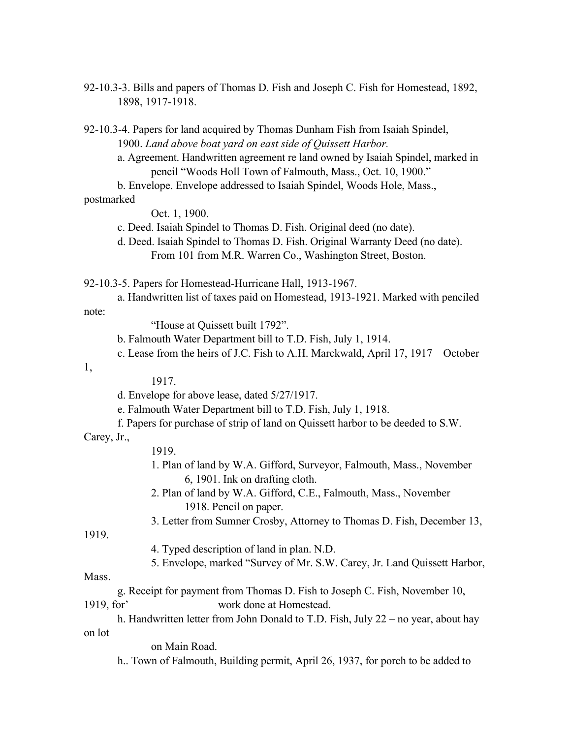92-10.3-3. Bills and papers of Thomas D. Fish and Joseph C. Fish for Homestead, 1892, 1898, 1917-1918.

92-10.3-4. Papers for land acquired by Thomas Dunham Fish from Isaiah Spindel, 1900. *Land above boat yard on east side of Quissett Harbor.*

a. Agreement. Handwritten agreement re land owned by Isaiah Spindel, marked in pencil "Woods Holl Town of Falmouth, Mass., Oct. 10, 1900."

b. Envelope. Envelope addressed to Isaiah Spindel, Woods Hole, Mass.,

### postmarked

Oct. 1, 1900.

c. Deed. Isaiah Spindel to Thomas D. Fish. Original deed (no date).

d. Deed. Isaiah Spindel to Thomas D. Fish. Original Warranty Deed (no date). From 101 from M.R. Warren Co., Washington Street, Boston.

92-10.3-5. Papers for Homestead-Hurricane Hall, 1913-1967.

a. Handwritten list of taxes paid on Homestead, 1913-1921. Marked with penciled note:

"House at Quissett built 1792".

b. Falmouth Water Department bill to T.D. Fish, July 1, 1914.

c. Lease from the heirs of J.C. Fish to A.H. Marckwald, April 17, 1917 – October

1,

1917.

d. Envelope for above lease, dated 5/27/1917.

e. Falmouth Water Department bill to T.D. Fish, July 1, 1918.

f. Papers for purchase of strip of land on Quissett harbor to be deeded to S.W.

#### Carey, Jr.,

#### 1919.

- 1. Plan of land by W.A. Gifford, Surveyor, Falmouth, Mass., November 6, 1901. Ink on drafting cloth.
- 2. Plan of land by W.A. Gifford, C.E., Falmouth, Mass., November 1918. Pencil on paper.
- 3. Letter from Sumner Crosby, Attorney to Thomas D. Fish, December 13,

1919.

- 4. Typed description of land in plan. N.D.
- 5. Envelope, marked "Survey of Mr. S.W. Carey, Jr. Land Quissett Harbor,

Mass.

g. Receipt for payment from Thomas D. Fish to Joseph C. Fish, November 10, 1919, for' work done at Homestead.

h. Handwritten letter from John Donald to T.D. Fish, July 22 – no year, about hay on lot

on Main Road.

h.. Town of Falmouth, Building permit, April 26, 1937, for porch to be added to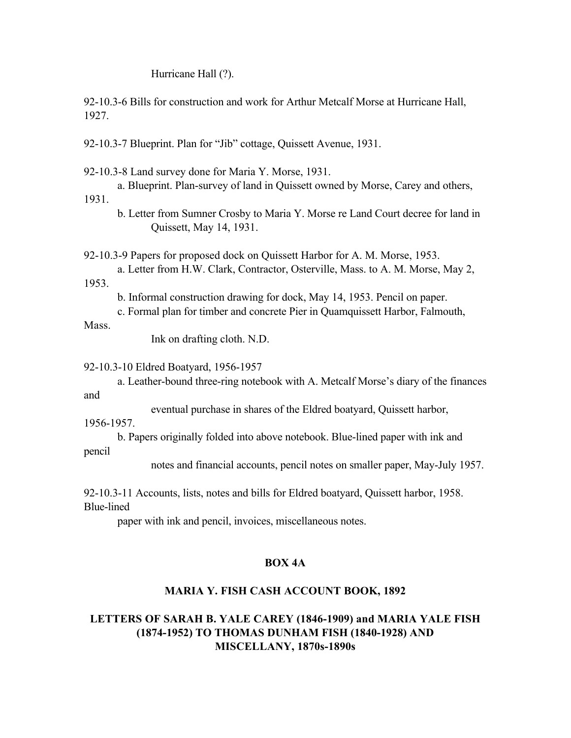Hurricane Hall (?).

92-10.3-6 Bills for construction and work for Arthur Metcalf Morse at Hurricane Hall, 1927.

92-10.3-7 Blueprint. Plan for "Jib" cottage, Quissett Avenue, 1931.

92-10.3-8 Land survey done for Maria Y. Morse, 1931.

a. Blueprint. Plan-survey of land in Quissett owned by Morse, Carey and others,

1931.

b. Letter from Sumner Crosby to Maria Y. Morse re Land Court decree for land in Quissett, May 14, 1931.

92-10.3-9 Papers for proposed dock on Quissett Harbor for A. M. Morse, 1953.

a. Letter from H.W. Clark, Contractor, Osterville, Mass. to A. M. Morse, May 2, 1953.

b. Informal construction drawing for dock, May 14, 1953. Pencil on paper.

c. Formal plan for timber and concrete Pier in Quamquissett Harbor, Falmouth,

Mass.

Ink on drafting cloth. N.D.

92-10.3-10 Eldred Boatyard, 1956-1957

a. Leather-bound three-ring notebook with A. Metcalf Morse's diary of the finances and

eventual purchase in shares of the Eldred boatyard, Quissett harbor,

1956-1957.

b. Papers originally folded into above notebook. Blue-lined paper with ink and pencil

notes and financial accounts, pencil notes on smaller paper, May-July 1957.

92-10.3-11 Accounts, lists, notes and bills for Eldred boatyard, Quissett harbor, 1958. Blue-lined

paper with ink and pencil, invoices, miscellaneous notes.

### **BOX 4A**

### **MARIA Y. FISH CASH ACCOUNT BOOK, 1892**

### **LETTERS OF SARAH B. YALE CAREY (1846-1909) and MARIA YALE FISH (1874-1952) TO THOMAS DUNHAM FISH (1840-1928) AND MISCELLANY, 1870s-1890s**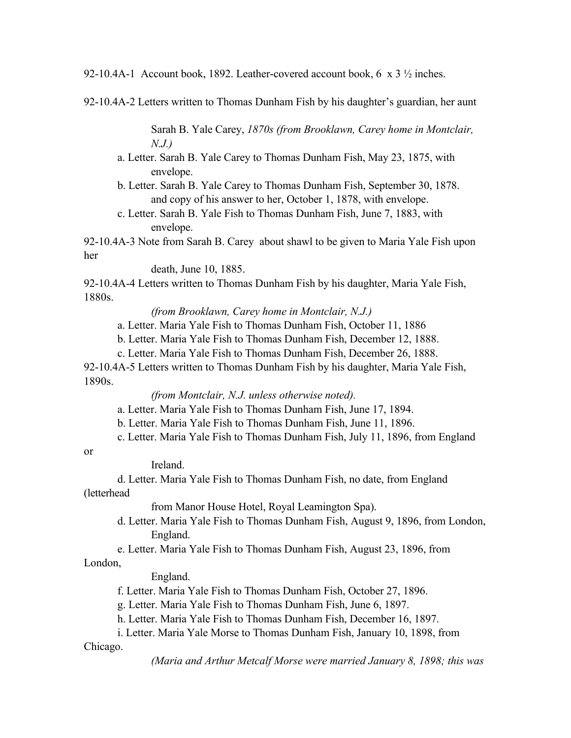92-10.4A-1 Account book, 1892. Leather-covered account book, 6 x 3  $\frac{1}{2}$  inches.

92-10.4A-2 Letters written to Thomas Dunham Fish by his daughter's guardian, her aunt

Sarah B. Yale Carey, *1870s (from Brooklawn, Carey home in Montclair, N.J.)*

a. Letter. Sarah B. Yale Carey to Thomas Dunham Fish, May 23, 1875, with envelope.

b. Letter. Sarah B. Yale Carey to Thomas Dunham Fish, September 30, 1878. and copy of his answer to her, October 1, 1878, with envelope.

c. Letter. Sarah B. Yale Fish to Thomas Dunham Fish, June 7, 1883, with envelope.

92-10.4A-3 Note from Sarah B. Carey about shawl to be given to Maria Yale Fish upon her

death, June 10, 1885.

92-10.4A-4 Letters written to Thomas Dunham Fish by his daughter, Maria Yale Fish, 1880s.

*(from Brooklawn, Carey home in Montclair, N.J.)*

a. Letter. Maria Yale Fish to Thomas Dunham Fish, October 11, 1886

b. Letter. Maria Yale Fish to Thomas Dunham Fish, December 12, 1888.

c. Letter. Maria Yale Fish to Thomas Dunham Fish, December 26, 1888.

92-10.4A-5 Letters written to Thomas Dunham Fish by his daughter, Maria Yale Fish, 1890s.

*(from Montclair, N.J. unless otherwise noted).*

a. Letter. Maria Yale Fish to Thomas Dunham Fish, June 17, 1894.

b. Letter. Maria Yale Fish to Thomas Dunham Fish, June 11, 1896.

c. Letter. Maria Yale Fish to Thomas Dunham Fish, July 11, 1896, from England

or

Ireland.

d. Letter. Maria Yale Fish to Thomas Dunham Fish, no date, from England (letterhead

from Manor House Hotel, Royal Leamington Spa).

d. Letter. Maria Yale Fish to Thomas Dunham Fish, August 9, 1896, from London, England.

e. Letter. Maria Yale Fish to Thomas Dunham Fish, August 23, 1896, from

London,

England.

f. Letter. Maria Yale Fish to Thomas Dunham Fish, October 27, 1896.

g. Letter. Maria Yale Fish to Thomas Dunham Fish, June 6, 1897.

h. Letter. Maria Yale Fish to Thomas Dunham Fish, December 16, 1897.

i. Letter. Maria Yale Morse to Thomas Dunham Fish, January 10, 1898, from Chicago.

*(Maria and Arthur Metcalf Morse were married January 8, 1898; this was*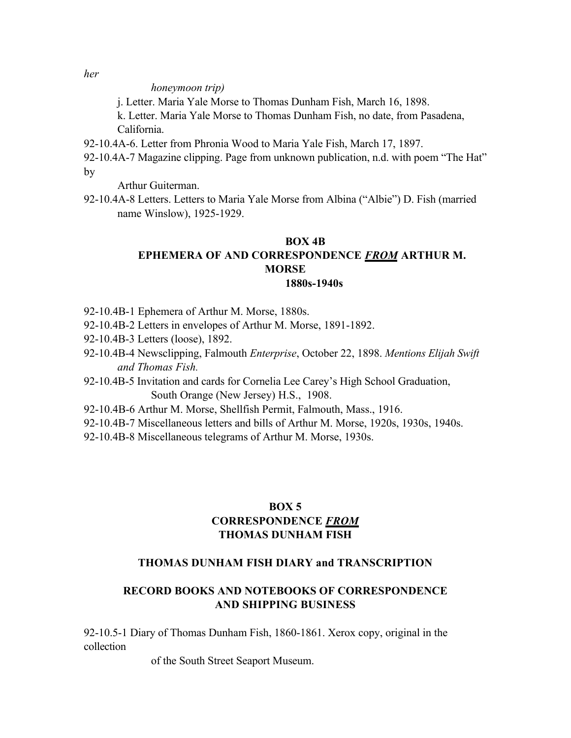*her*

*honeymoon trip)*

j. Letter. Maria Yale Morse to Thomas Dunham Fish, March 16, 1898.

k. Letter. Maria Yale Morse to Thomas Dunham Fish, no date, from Pasadena, California.

- 92-10.4A-6. Letter from Phronia Wood to Maria Yale Fish, March 17, 1897.
- 92-10.4A-7 Magazine clipping. Page from unknown publication, n.d. with poem "The Hat" by

Arthur Guiterman.

92-10.4A-8 Letters. Letters to Maria Yale Morse from Albina ("Albie") D. Fish (married name Winslow), 1925-1929.

#### **BOX 4B**

# **EPHEMERA OF AND CORRESPONDENCE** *FROM* **ARTHUR M. MORSE**

#### **1880s-1940s**

- 92-10.4B-1 Ephemera of Arthur M. Morse, 1880s.
- 92-10.4B-2 Letters in envelopes of Arthur M. Morse, 1891-1892.
- 92-10.4B-3 Letters (loose), 1892.
- 92-10.4B-4 Newsclipping, Falmouth *Enterprise*, October 22, 1898. *Mentions Elijah Swift and Thomas Fish.*
- 92-10.4B-5 Invitation and cards for Cornelia Lee Carey's High School Graduation, South Orange (New Jersey) H.S., 1908.
- 92-10.4B-6 Arthur M. Morse, Shellfish Permit, Falmouth, Mass., 1916.
- 92-10.4B-7 Miscellaneous letters and bills of Arthur M. Morse, 1920s, 1930s, 1940s.
- 92-10.4B-8 Miscellaneous telegrams of Arthur M. Morse, 1930s.

### **BOX 5 CORRESPONDENCE** *FROM* **THOMAS DUNHAM FISH**

### **THOMAS DUNHAM FISH DIARY and TRANSCRIPTION**

### **RECORD BOOKS AND NOTEBOOKS OF CORRESPONDENCE AND SHIPPING BUSINESS**

92-10.5-1 Diary of Thomas Dunham Fish, 1860-1861. Xerox copy, original in the collection

of the South Street Seaport Museum.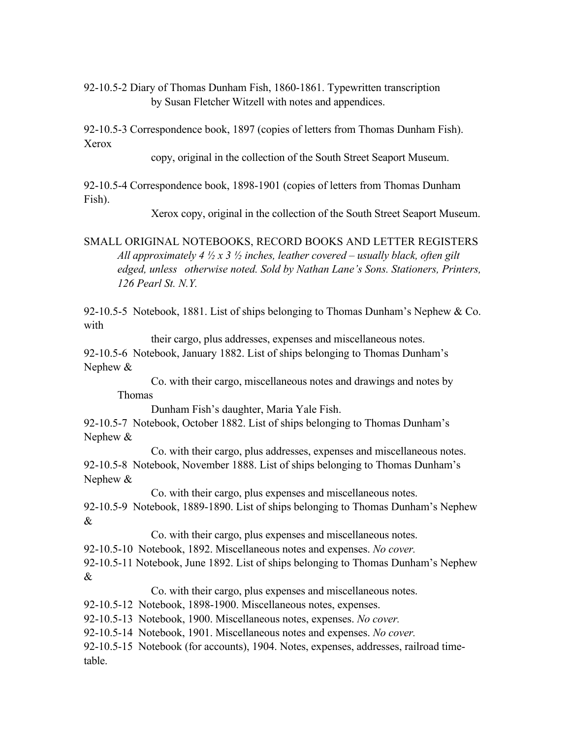92-10.5-2 Diary of Thomas Dunham Fish, 1860-1861. Typewritten transcription by Susan Fletcher Witzell with notes and appendices.

92-10.5-3 Correspondence book, 1897 (copies of letters from Thomas Dunham Fish). Xerox

copy, original in the collection of the South Street Seaport Museum.

92-10.5-4 Correspondence book, 1898-1901 (copies of letters from Thomas Dunham Fish).

Xerox copy, original in the collection of the South Street Seaport Museum.

SMALL ORIGINAL NOTEBOOKS, RECORD BOOKS AND LETTER REGISTERS *All approximately 4 ½ x 3 ½ inches, leather covered – usually black, often gilt edged, unless otherwise noted. Sold by Nathan Lane's Sons. Stationers, Printers, 126 Pearl St. N.Y.*

92-10.5-5 Notebook, 1881. List of ships belonging to Thomas Dunham's Nephew & Co. with

their cargo, plus addresses, expenses and miscellaneous notes.

92-10.5-6 Notebook, January 1882. List of ships belonging to Thomas Dunham's Nephew &

Co. with their cargo, miscellaneous notes and drawings and notes by Thomas

Dunham Fish's daughter, Maria Yale Fish.

92-10.5-7 Notebook, October 1882. List of ships belonging to Thomas Dunham's Nephew &

Co. with their cargo, plus addresses, expenses and miscellaneous notes. 92-10.5-8 Notebook, November 1888. List of ships belonging to Thomas Dunham's Nephew &

Co. with their cargo, plus expenses and miscellaneous notes.

92-10.5-9 Notebook, 1889-1890. List of ships belonging to Thomas Dunham's Nephew &

Co. with their cargo, plus expenses and miscellaneous notes.

92-10.5-10 Notebook, 1892. Miscellaneous notes and expenses. *No cover.*

92-10.5-11 Notebook, June 1892. List of ships belonging to Thomas Dunham's Nephew &

Co. with their cargo, plus expenses and miscellaneous notes.

92-10.5-12 Notebook, 1898-1900. Miscellaneous notes, expenses.

92-10.5-13 Notebook, 1900. Miscellaneous notes, expenses. *No cover.*

92-10.5-14 Notebook, 1901. Miscellaneous notes and expenses. *No cover.*

92-10.5-15 Notebook (for accounts), 1904. Notes, expenses, addresses, railroad timetable.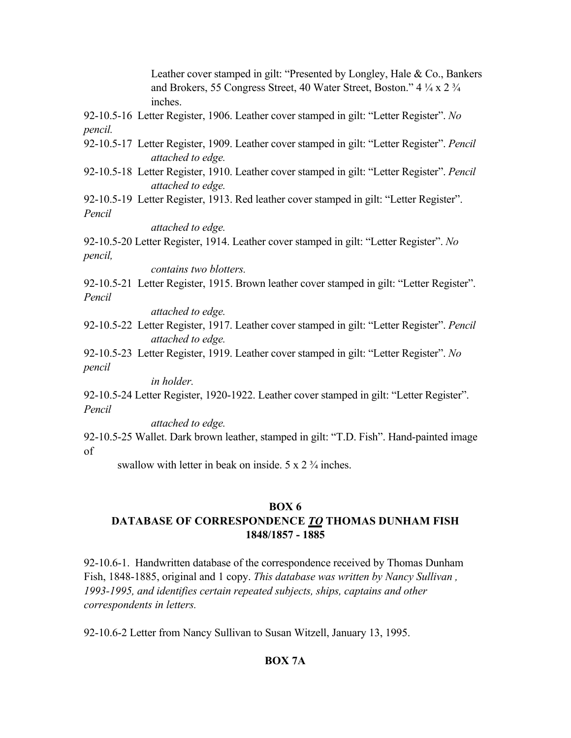Leather cover stamped in gilt: "Presented by Longley, Hale & Co., Bankers and Brokers, 55 Congress Street, 40 Water Street, Boston." 4 ¼ x 2 ¾ inches.

92-10.5-16 Letter Register, 1906. Leather cover stamped in gilt: "Letter Register". *No pencil.*

- 92-10.5-17 Letter Register, 1909. Leather cover stamped in gilt: "Letter Register". *Pencil attached to edge.*
- 92-10.5-18 Letter Register, 1910. Leather cover stamped in gilt: "Letter Register". *Pencil attached to edge.*

92-10.5-19 Letter Register, 1913. Red leather cover stamped in gilt: "Letter Register". *Pencil*

*attached to edge.*

92-10.5-20 Letter Register, 1914. Leather cover stamped in gilt: "Letter Register". *No pencil,*

*contains two blotters.*

92-10.5-21 Letter Register, 1915. Brown leather cover stamped in gilt: "Letter Register". *Pencil*

*attached to edge.*

- 92-10.5-22 Letter Register, 1917. Leather cover stamped in gilt: "Letter Register". *Pencil attached to edge.*
- 92-10.5-23 Letter Register, 1919. Leather cover stamped in gilt: "Letter Register". *No pencil*

*in holder.*

92-10.5-24 Letter Register, 1920-1922. Leather cover stamped in gilt: "Letter Register". *Pencil*

*attached to edge.*

92-10.5-25 Wallet. Dark brown leather, stamped in gilt: "T.D. Fish". Hand-painted image of

swallow with letter in beak on inside.  $5 \times 2 \frac{3}{4}$  inches.

### **BOX 6**

# **DATABASE OF CORRESPONDENCE** *TO* **THOMAS DUNHAM FISH 1848/1857 - 1885**

92-10.6-1. Handwritten database of the correspondence received by Thomas Dunham Fish, 1848-1885, original and 1 copy. *This database was written by Nancy Sullivan , 1993-1995, and identifies certain repeated subjects, ships, captains and other correspondents in letters.*

92-10.6-2 Letter from Nancy Sullivan to Susan Witzell, January 13, 1995.

# **BOX 7A**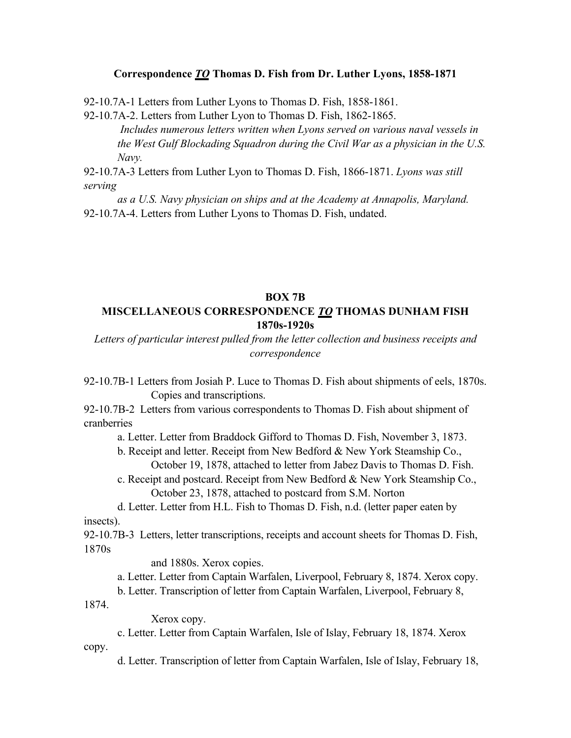#### **Correspondence** *TO* **Thomas D. Fish from Dr. Luther Lyons, 1858-1871**

92-10.7A-1 Letters from Luther Lyons to Thomas D. Fish, 1858-1861.

92-10.7A-2. Letters from Luther Lyon to Thomas D. Fish, 1862-1865. *Includes numerous letters written when Lyons served on various naval vessels in the West Gulf Blockading Squadron during the Civil War as a physician in the U.S. Navy.*

92-10.7A-3 Letters from Luther Lyon to Thomas D. Fish, 1866-1871. *Lyons was still serving*

*as a U.S. Navy physician on ships and at the Academy at Annapolis, Maryland.* 92-10.7A-4. Letters from Luther Lyons to Thomas D. Fish, undated.

### **BOX 7B MISCELLANEOUS CORRESPONDENCE** *TO* **THOMAS DUNHAM FISH 1870s-1920s**

*Letters of particular interest pulled from the letter collection and business receipts and correspondence*

92-10.7B-1 Letters from Josiah P. Luce to Thomas D. Fish about shipments of eels, 1870s. Copies and transcriptions.

92-10.7B-2 Letters from various correspondents to Thomas D. Fish about shipment of cranberries

a. Letter. Letter from Braddock Gifford to Thomas D. Fish, November 3, 1873.

- b. Receipt and letter. Receipt from New Bedford & New York Steamship Co., October 19, 1878, attached to letter from Jabez Davis to Thomas D. Fish.
- c. Receipt and postcard. Receipt from New Bedford & New York Steamship Co., October 23, 1878, attached to postcard from S.M. Norton

d. Letter. Letter from H.L. Fish to Thomas D. Fish, n.d. (letter paper eaten by insects).

92-10.7B-3 Letters, letter transcriptions, receipts and account sheets for Thomas D. Fish, 1870s

and 1880s. Xerox copies.

a. Letter. Letter from Captain Warfalen, Liverpool, February 8, 1874. Xerox copy.

b. Letter. Transcription of letter from Captain Warfalen, Liverpool, February 8,

1874.

copy.

Xerox copy.

c. Letter. Letter from Captain Warfalen, Isle of Islay, February 18, 1874. Xerox

d. Letter. Transcription of letter from Captain Warfalen, Isle of Islay, February 18,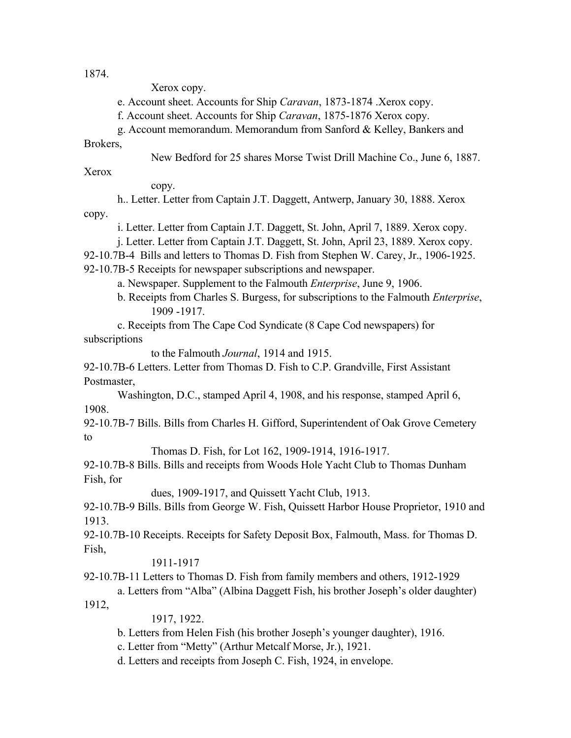1874.

Xerox copy.

e. Account sheet. Accounts for Ship *Caravan*, 1873-1874 .Xerox copy.

f. Account sheet. Accounts for Ship *Caravan*, 1875-1876 Xerox copy.

g. Account memorandum. Memorandum from Sanford & Kelley, Bankers and

Brokers,

New Bedford for 25 shares Morse Twist Drill Machine Co., June 6, 1887.

Xerox

copy.

h.. Letter. Letter from Captain J.T. Daggett, Antwerp, January 30, 1888. Xerox copy.

i. Letter. Letter from Captain J.T. Daggett, St. John, April 7, 1889. Xerox copy.

j. Letter. Letter from Captain J.T. Daggett, St. John, April 23, 1889. Xerox copy.

92-10.7B-4 Bills and letters to Thomas D. Fish from Stephen W. Carey, Jr., 1906-1925.

92-10.7B-5 Receipts for newspaper subscriptions and newspaper.

a. Newspaper. Supplement to the Falmouth *Enterprise*, June 9, 1906.

b. Receipts from Charles S. Burgess, for subscriptions to the Falmouth *Enterprise*, 1909 -1917.

c. Receipts from The Cape Cod Syndicate (8 Cape Cod newspapers) for subscriptions

to the Falmouth *Journal*, 1914 and 1915.

92-10.7B-6 Letters. Letter from Thomas D. Fish to C.P. Grandville, First Assistant Postmaster,

Washington, D.C., stamped April 4, 1908, and his response, stamped April 6, 1908.

92-10.7B-7 Bills. Bills from Charles H. Gifford, Superintendent of Oak Grove Cemetery to

Thomas D. Fish, for Lot 162, 1909-1914, 1916-1917.

92-10.7B-8 Bills. Bills and receipts from Woods Hole Yacht Club to Thomas Dunham Fish, for

dues, 1909-1917, and Quissett Yacht Club, 1913.

92-10.7B-9 Bills. Bills from George W. Fish, Quissett Harbor House Proprietor, 1910 and 1913.

92-10.7B-10 Receipts. Receipts for Safety Deposit Box, Falmouth, Mass. for Thomas D. Fish,

### 1911-1917

92-10.7B-11 Letters to Thomas D. Fish from family members and others, 1912-1929

a. Letters from "Alba" (Albina Daggett Fish, his brother Joseph's older daughter) 1912,

1917, 1922.

b. Letters from Helen Fish (his brother Joseph's younger daughter), 1916.

c. Letter from "Metty" (Arthur Metcalf Morse, Jr.), 1921.

d. Letters and receipts from Joseph C. Fish, 1924, in envelope.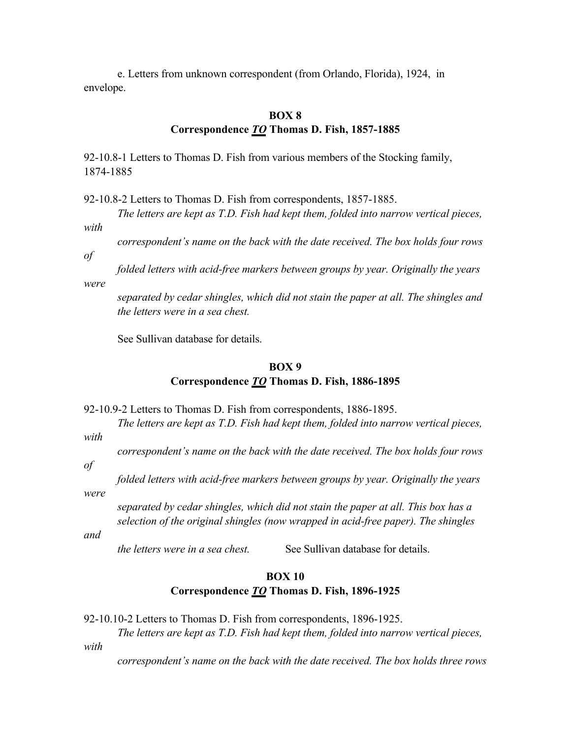e. Letters from unknown correspondent (from Orlando, Florida), 1924, in envelope.

#### **BOX 8**

### **Correspondence** *TO* **Thomas D. Fish, 1857-1885**

92-10.8-1 Letters to Thomas D. Fish from various members of the Stocking family, 1874-1885

92-10.8-2 Letters to Thomas D. Fish from correspondents, 1857-1885.

*The letters are kept as T.D. Fish had kept them, folded into narrow vertical pieces, with*

*correspondent's name on the back with the date received. The box holds four rows* 

*of* 

*folded letters with acid-free markers between groups by year. Originally the years* 

*were*

*separated by cedar shingles, which did not stain the paper at all. The shingles and the letters were in a sea chest.*

See Sullivan database for details.

### **BOX 9 Correspondence** *TO* **Thomas D. Fish, 1886-1895**

92-10.9-2 Letters to Thomas D. Fish from correspondents, 1886-1895.

*The letters are kept as T.D. Fish had kept them, folded into narrow vertical pieces,* 

*with*

*correspondent's name on the back with the date received. The box holds four rows* 

*of* 

*were*

*folded letters with acid-free markers between groups by year. Originally the years* 

*separated by cedar shingles, which did not stain the paper at all. This box has a selection of the original shingles (now wrapped in acid-free paper). The shingles* 

*and*

*the letters were in a sea chest.* See Sullivan database for details.

### **BOX 10 Correspondence** *TO* **Thomas D. Fish, 1896-1925**

92-10.10-2 Letters to Thomas D. Fish from correspondents, 1896-1925.

*The letters are kept as T.D. Fish had kept them, folded into narrow vertical pieces,* 

*with*

*correspondent's name on the back with the date received. The box holds three rows*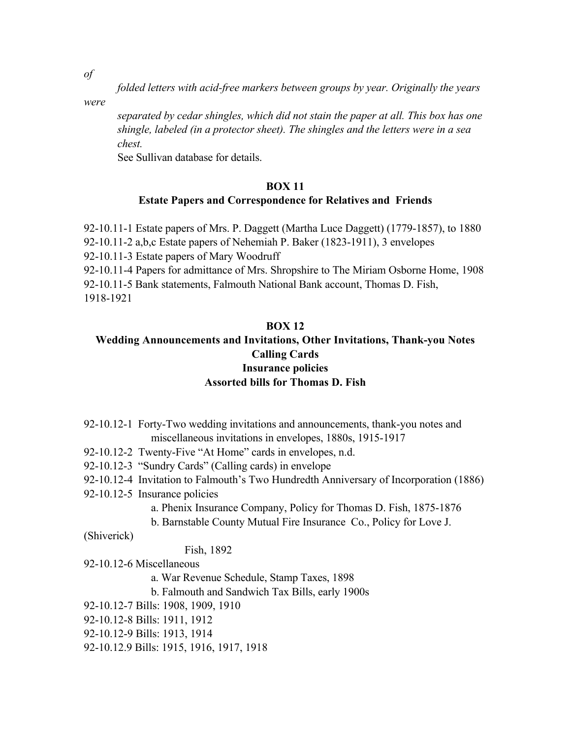*of* 

*folded letters with acid-free markers between groups by year. Originally the years* 

*were*

*separated by cedar shingles, which did not stain the paper at all. This box has one shingle, labeled (in a protector sheet). The shingles and the letters were in a sea chest.*

See Sullivan database for details.

### **BOX 11**

### **Estate Papers and Correspondence for Relatives and Friends**

92-10.11-1 Estate papers of Mrs. P. Daggett (Martha Luce Daggett) (1779-1857), to 1880 92-10.11-2 a,b,c Estate papers of Nehemiah P. Baker (1823-1911), 3 envelopes 92-10.11-3 Estate papers of Mary Woodruff 92-10.11-4 Papers for admittance of Mrs. Shropshire to The Miriam Osborne Home, 1908 92-10.11-5 Bank statements, Falmouth National Bank account, Thomas D. Fish, 1918-1921

### **BOX 12**

### **Wedding Announcements and Invitations, Other Invitations, Thank-you Notes Calling Cards Insurance policies Assorted bills for Thomas D. Fish**

- 92-10.12-1 Forty-Two wedding invitations and announcements, thank-you notes and miscellaneous invitations in envelopes, 1880s, 1915-1917
- 92-10.12-2 Twenty-Five "At Home" cards in envelopes, n.d.
- 92-10.12-3 "Sundry Cards" (Calling cards) in envelope
- 92-10.12-4 Invitation to Falmouth's Two Hundredth Anniversary of Incorporation (1886)
- 92-10.12-5 Insurance policies
	- a. Phenix Insurance Company, Policy for Thomas D. Fish, 1875-1876
	- b. Barnstable County Mutual Fire Insurance Co., Policy for Love J.

(Shiverick)

### Fish, 1892

- 92-10.12-6 Miscellaneous
	- a. War Revenue Schedule, Stamp Taxes, 1898
	- b. Falmouth and Sandwich Tax Bills, early 1900s
- 92-10.12-7 Bills: 1908, 1909, 1910
- 92-10.12-8 Bills: 1911, 1912
- 92-10.12-9 Bills: 1913, 1914
- 92-10.12.9 Bills: 1915, 1916, 1917, 1918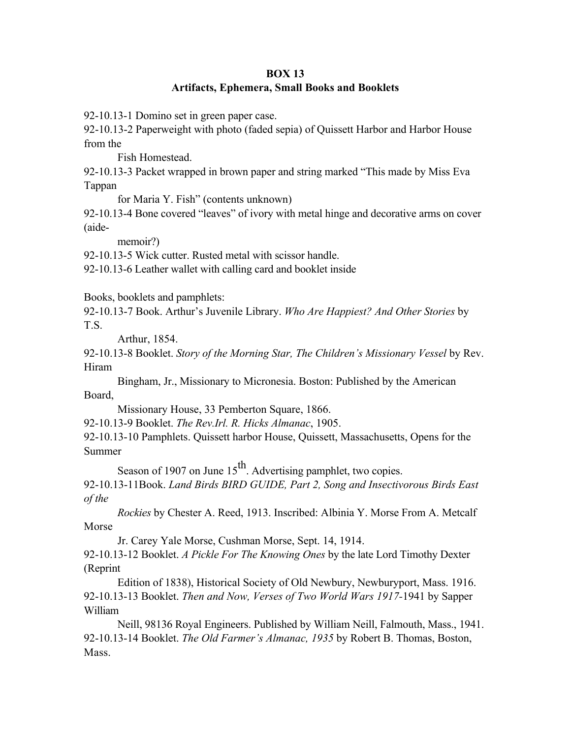### **BOX 13 Artifacts, Ephemera, Small Books and Booklets**

92-10.13-1 Domino set in green paper case.

92-10.13-2 Paperweight with photo (faded sepia) of Quissett Harbor and Harbor House from the

Fish Homestead.

92-10.13-3 Packet wrapped in brown paper and string marked "This made by Miss Eva Tappan

for Maria Y. Fish" (contents unknown)

92-10.13-4 Bone covered "leaves" of ivory with metal hinge and decorative arms on cover (aide-

memoir?)

92-10.13-5 Wick cutter. Rusted metal with scissor handle.

92-10.13-6 Leather wallet with calling card and booklet inside

Books, booklets and pamphlets:

92-10.13-7 Book. Arthur's Juvenile Library. *Who Are Happiest? And Other Stories* by T.S.

Arthur, 1854.

92-10.13-8 Booklet. *Story of the Morning Star, The Children's Missionary Vessel* by Rev. Hiram

Bingham, Jr., Missionary to Micronesia. Boston: Published by the American Board,

Missionary House, 33 Pemberton Square, 1866.

92-10.13-9 Booklet. *The Rev.Irl. R. Hicks Almanac*, 1905.

92-10.13-10 Pamphlets. Quissett harbor House, Quissett, Massachusetts, Opens for the Summer

Season of 1907 on June  $15<sup>th</sup>$ . Advertising pamphlet, two copies.

92-10.13-11Book. *Land Birds BIRD GUIDE, Part 2, Song and Insectivorous Birds East of the* 

*Rockies* by Chester A. Reed, 1913. Inscribed: Albinia Y. Morse From A. Metcalf Morse

Jr. Carey Yale Morse, Cushman Morse, Sept. 14, 1914.

92-10.13-12 Booklet. *A Pickle For The Knowing Ones* by the late Lord Timothy Dexter (Reprint

Edition of 1838), Historical Society of Old Newbury, Newburyport, Mass. 1916. 92-10.13-13 Booklet. *Then and Now, Verses of Two World Wars 1917-*1941 by Sapper William

Neill, 98136 Royal Engineers. Published by William Neill, Falmouth, Mass., 1941. 92-10.13-14 Booklet. *The Old Farmer's Almanac, 1935* by Robert B. Thomas, Boston, Mass.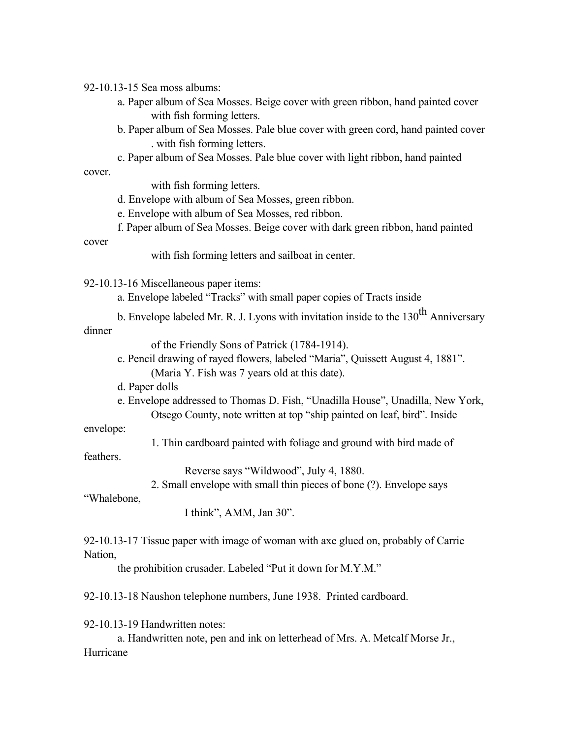92-10.13-15 Sea moss albums:

- a. Paper album of Sea Mosses. Beige cover with green ribbon, hand painted cover with fish forming letters.
- b. Paper album of Sea Mosses. Pale blue cover with green cord, hand painted cover . with fish forming letters.
- c. Paper album of Sea Mosses. Pale blue cover with light ribbon, hand painted cover.

with fish forming letters.

- d. Envelope with album of Sea Mosses, green ribbon.
- e. Envelope with album of Sea Mosses, red ribbon.
- f. Paper album of Sea Mosses. Beige cover with dark green ribbon, hand painted

cover

with fish forming letters and sailboat in center.

92-10.13-16 Miscellaneous paper items:

- a. Envelope labeled "Tracks" with small paper copies of Tracts inside
- b. Envelope labeled Mr. R. J. Lyons with invitation inside to the  $130<sup>th</sup>$  Anniversary

dinner

of the Friendly Sons of Patrick (1784-1914).

- c. Pencil drawing of rayed flowers, labeled "Maria", Quissett August 4, 1881". (Maria Y. Fish was 7 years old at this date).
- d. Paper dolls
- e. Envelope addressed to Thomas D. Fish, "Unadilla House", Unadilla, New York, Otsego County, note written at top "ship painted on leaf, bird". Inside

envelope:

1. Thin cardboard painted with foliage and ground with bird made of

feathers.

Reverse says "Wildwood", July 4, 1880.

2. Small envelope with small thin pieces of bone (?). Envelope says

"Whalebone,

I think", AMM, Jan 30".

92-10.13-17 Tissue paper with image of woman with axe glued on, probably of Carrie Nation,

the prohibition crusader. Labeled "Put it down for M.Y.M."

92-10.13-18 Naushon telephone numbers, June 1938. Printed cardboard.

92-10.13-19 Handwritten notes:

a. Handwritten note, pen and ink on letterhead of Mrs. A. Metcalf Morse Jr., Hurricane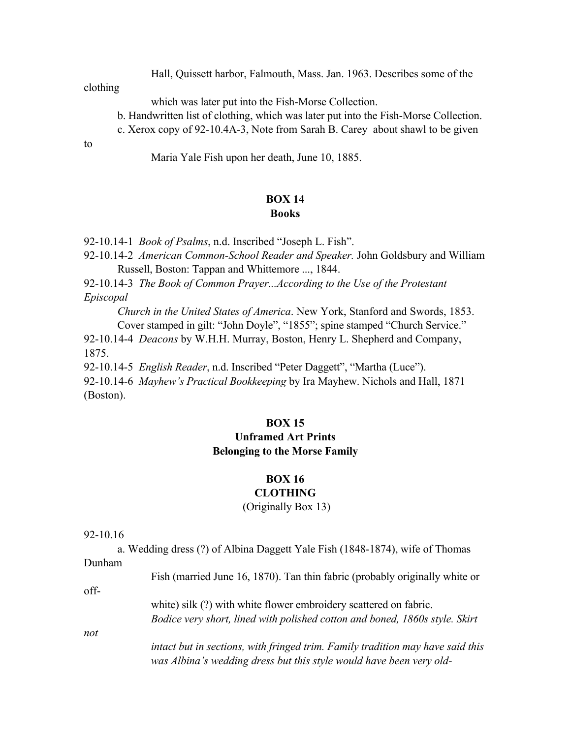Hall, Quissett harbor, Falmouth, Mass. Jan. 1963. Describes some of the

clothing

which was later put into the Fish-Morse Collection.

- b. Handwritten list of clothing, which was later put into the Fish-Morse Collection.
- c. Xerox copy of 92-10.4A-3, Note from Sarah B. Carey about shawl to be given

to

Maria Yale Fish upon her death, June 10, 1885.

#### **BOX 14 Books**

92-10.14-1 *Book of Psalms*, n.d. Inscribed "Joseph L. Fish".

92-10.14-2 *American Common-School Reader and Speaker.* John Goldsbury and William Russell, Boston: Tappan and Whittemore ..., 1844.

92-10.14-3 *The Book of Common Prayer...According to the Use of the Protestant Episcopal*

*Church in the United States of America*. New York, Stanford and Swords, 1853. Cover stamped in gilt: "John Doyle", "1855"; spine stamped "Church Service."

92-10.14-4 *Deacons* by W.H.H. Murray, Boston, Henry L. Shepherd and Company, 1875.

92-10.14-5 *English Reader*, n.d. Inscribed "Peter Daggett", "Martha (Luce").

92-10.14-6 *Mayhew's Practical Bookkeeping* by Ira Mayhew. Nichols and Hall, 1871 (Boston).

#### **BOX 15**

### **Unframed Art Prints Belonging to the Morse Family**

### **BOX 16**

### **CLOTHING**

(Originally Box 13)

#### 92-10.16

a. Wedding dress (?) of Albina Daggett Yale Fish (1848-1874), wife of Thomas Dunham Fish (married June 16, 1870). Tan thin fabric (probably originally white or offwhite) silk (?) with white flower embroidery scattered on fabric. *Bodice very short, lined with polished cotton and boned, 1860s style. Skirt not intact but in sections, with fringed trim. Family tradition may have said this was Albina's wedding dress but this style would have been very old-*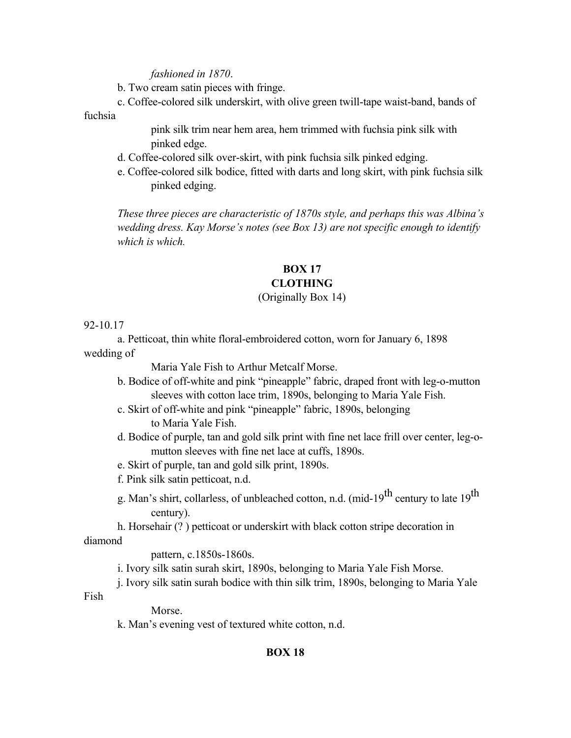#### *fashioned in 1870*.

b. Two cream satin pieces with fringe.

c. Coffee-colored silk underskirt, with olive green twill-tape waist-band, bands of

fuchsia

pink silk trim near hem area, hem trimmed with fuchsia pink silk with pinked edge.

- d. Coffee-colored silk over-skirt, with pink fuchsia silk pinked edging.
- e. Coffee-colored silk bodice, fitted with darts and long skirt, with pink fuchsia silk pinked edging.

*These three pieces are characteristic of 1870s style, and perhaps this was Albina's wedding dress. Kay Morse's notes (see Box 13) are not specific enough to identify which is which.*

#### **BOX 17**

### **CLOTHING**

### (Originally Box 14)

#### 92-10.17

a. Petticoat, thin white floral-embroidered cotton, worn for January 6, 1898 wedding of

Maria Yale Fish to Arthur Metcalf Morse.

- b. Bodice of off-white and pink "pineapple" fabric, draped front with leg-o-mutton sleeves with cotton lace trim, 1890s, belonging to Maria Yale Fish.
- c. Skirt of off-white and pink "pineapple" fabric, 1890s, belonging to Maria Yale Fish.
- d. Bodice of purple, tan and gold silk print with fine net lace frill over center, leg-omutton sleeves with fine net lace at cuffs, 1890s.
- e. Skirt of purple, tan and gold silk print, 1890s.
- f. Pink silk satin petticoat, n.d.
- g. Man's shirt, collarless, of unbleached cotton, n.d. (mid-19<sup>th</sup> century to late 19<sup>th</sup> century).
- h. Horsehair (? ) petticoat or underskirt with black cotton stripe decoration in

#### diamond

pattern, c.1850s-1860s.

- i. Ivory silk satin surah skirt, 1890s, belonging to Maria Yale Fish Morse.
- j. Ivory silk satin surah bodice with thin silk trim, 1890s, belonging to Maria Yale

Fish

Morse.

k. Man's evening vest of textured white cotton, n.d.

#### **BOX 18**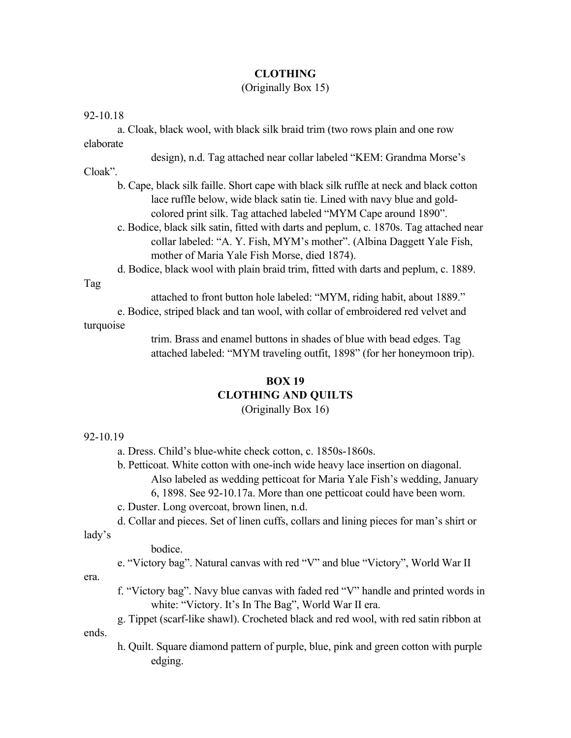#### **CLOTHING**

### (Originally Box 15)

#### 92-10.18

|           |  |  |  |  |  | a. Cloak, black wool, with black silk braid trim (two rows plain and one row |  |
|-----------|--|--|--|--|--|------------------------------------------------------------------------------|--|
| elaborate |  |  |  |  |  |                                                                              |  |

design), n.d. Tag attached near collar labeled "KEM: Grandma Morse's

Cloak".

- b. Cape, black silk faille. Short cape with black silk ruffle at neck and black cotton lace ruffle below, wide black satin tie. Lined with navy blue and goldcolored print silk. Tag attached labeled "MYM Cape around 1890".
- c. Bodice, black silk satin, fitted with darts and peplum, c. 1870s. Tag attached near collar labeled: "A. Y. Fish, MYM's mother". (Albina Daggett Yale Fish, mother of Maria Yale Fish Morse, died 1874).
- d. Bodice, black wool with plain braid trim, fitted with darts and peplum, c. 1889.

#### Tag

attached to front button hole labeled: "MYM, riding habit, about 1889."

e. Bodice, striped black and tan wool, with collar of embroidered red velvet and turquoise

> trim. Brass and enamel buttons in shades of blue with bead edges. Tag attached labeled: "MYM traveling outfit, 1898" (for her honeymoon trip).

## **BOX 19 CLOTHING AND QUILTS**

(Originally Box 16)

#### 92-10.19

- a. Dress. Child's blue-white check cotton, c. 1850s-1860s.
- b. Petticoat. White cotton with one-inch wide heavy lace insertion on diagonal. Also labeled as wedding petticoat for Maria Yale Fish's wedding, January
	- 6, 1898. See 92-10.17a. More than one petticoat could have been worn.
- c. Duster. Long overcoat, brown linen, n.d.
- d. Collar and pieces. Set of linen cuffs, collars and lining pieces for man's shirt or

lady's

#### bodice.

e. "Victory bag". Natural canvas with red "V" and blue "Victory", World War II

era.

ends.

f. "Victory bag". Navy blue canvas with faded red "V" handle and printed words in white: "Victory. It's In The Bag", World War II era.

g. Tippet (scarf-like shawl). Crocheted black and red wool, with red satin ribbon at

h. Quilt. Square diamond pattern of purple, blue, pink and green cotton with purple edging.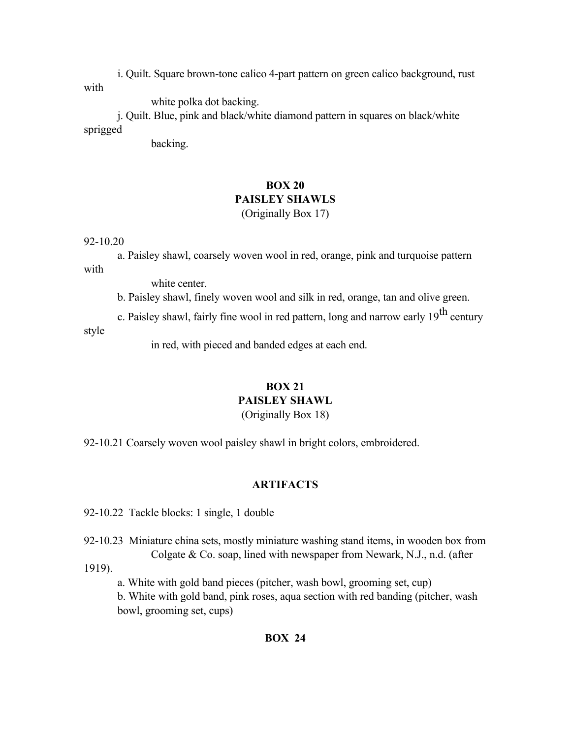i. Quilt. Square brown-tone calico 4-part pattern on green calico background, rust with

white polka dot backing.

j. Quilt. Blue, pink and black/white diamond pattern in squares on black/white sprigged

backing.

# **BOX 20 PAISLEY SHAWLS**

(Originally Box 17)

### 92-10.20

a. Paisley shawl, coarsely woven wool in red, orange, pink and turquoise pattern with

white center.

b. Paisley shawl, finely woven wool and silk in red, orange, tan and olive green.

c. Paisley shawl, fairly fine wool in red pattern, long and narrow early  $19<sup>th</sup>$  century style

in red, with pieced and banded edges at each end.

### **BOX 21 PAISLEY SHAWL**

(Originally Box 18)

92-10.21 Coarsely woven wool paisley shawl in bright colors, embroidered.

## **ARTIFACTS**

92-10.22 Tackle blocks: 1 single, 1 double

92-10.23 Miniature china sets, mostly miniature washing stand items, in wooden box from Colgate & Co. soap, lined with newspaper from Newark, N.J., n.d. (after

1919).

a. White with gold band pieces (pitcher, wash bowl, grooming set, cup)

b. White with gold band, pink roses, aqua section with red banding (pitcher, wash bowl, grooming set, cups)

### **BOX 24**